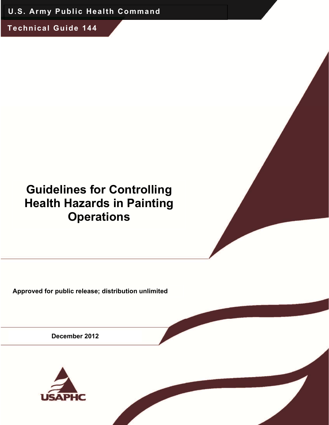**U.S. Army Public Health Command** 

**Technical Guide 144** 

# **Guidelines for Controlling Health Hazards in Painting Operations**

**Approved for public release; distribution unlimited** 

**December 2012** 

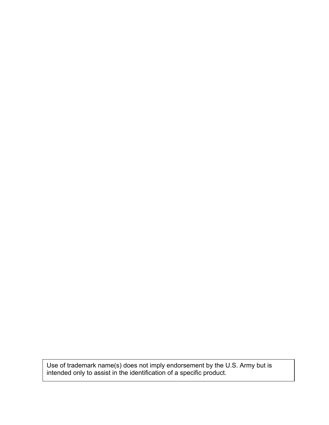Use of trademark name(s) does not imply endorsement by the U.S. Army but is intended only to assist in the identification of a specific product.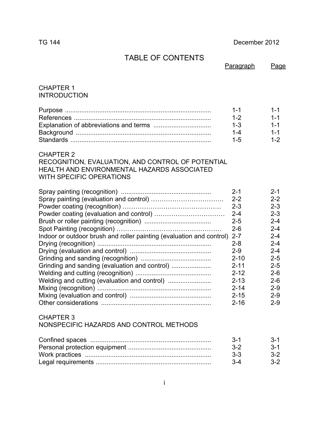#### TG 144 December 2012

# TABLE OF CONTENTS

|  | Paragraph | Page |
|--|-----------|------|
|  |           |      |

#### CHAPTER 1 INTRODUCTION

| $1 - 1$ |      |
|---------|------|
| $1 - 2$ |      |
| $1 - 3$ |      |
|         |      |
| 1-5     | 1-2. |

#### CHAPTER 2

RECOGNITION, EVALUATION, AND CONTROL OF POTENTIAL HEALTH AND ENVIRONMENTAL HAZARDS ASSOCIATED WITH SPECIFIC OPERATIONS

|                                                                          | $2 - 1$  | $2 - 1$ |
|--------------------------------------------------------------------------|----------|---------|
|                                                                          | $2 - 2$  | $2 - 2$ |
|                                                                          | $2 - 3$  | $2 - 3$ |
|                                                                          | $2 - 4$  | $2 - 3$ |
|                                                                          | $2 - 5$  | $2 - 4$ |
|                                                                          | $2 - 6$  | $2 - 4$ |
| Indoor or outdoor brush and roller painting (evaluation and control) 2-7 |          | $2 - 4$ |
|                                                                          | $2 - 8$  | $2 - 4$ |
|                                                                          | $2-9$    | $2 - 4$ |
|                                                                          | $2 - 10$ | $2 - 5$ |
| Grinding and sanding (evaluation and control)                            | $2 - 11$ | $2 - 5$ |
|                                                                          | $2 - 12$ | $2 - 6$ |
|                                                                          | $2 - 13$ | $2 - 6$ |
|                                                                          | $2 - 14$ | $2-9$   |
|                                                                          | $2 - 15$ | $2 - 9$ |
|                                                                          | $2 - 16$ | $2 - 9$ |

#### CHAPTER 3

NONSPECIFIC HAZARDS AND CONTROL METHODS

| $3 - 1$ | $-3-1$ |
|---------|--------|
| $3-2$   | $3-1$  |
| $3 - 3$ | $3-2$  |
| $3 - 4$ | $3-2$  |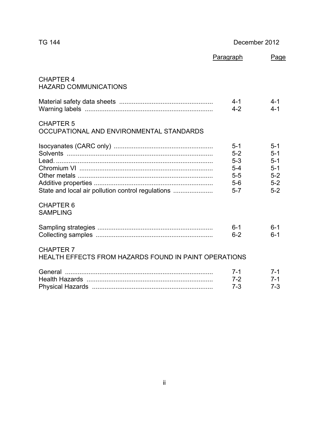# TG 144 December 2012

|                                                                                  | Paragraph                                                       | Page                                                                  |
|----------------------------------------------------------------------------------|-----------------------------------------------------------------|-----------------------------------------------------------------------|
| <b>CHAPTER 4</b><br><b>HAZARD COMMUNICATIONS</b>                                 |                                                                 |                                                                       |
|                                                                                  | $4 - 1$<br>$4 - 2$                                              | $4 - 1$<br>$4 - 1$                                                    |
| <b>CHAPTER 5</b><br>OCCUPATIONAL AND ENVIRONMENTAL STANDARDS                     |                                                                 |                                                                       |
| State and local air pollution control regulations<br><b>CHAPTER 6</b>            | $5 - 1$<br>$5-2$<br>$5-3$<br>$5-4$<br>$5-5$<br>$5-6$<br>$5 - 7$ | $5 - 1$<br>$5 - 1$<br>$5 - 1$<br>$5 - 1$<br>$5 - 2$<br>$5-2$<br>$5-2$ |
| <b>SAMPLING</b>                                                                  | $6 - 1$                                                         | $6 - 1$                                                               |
| <b>CHAPTER 7</b><br><b>HEALTH EFFECTS FROM HAZARDS FOUND IN PAINT OPERATIONS</b> | $6 - 2$                                                         | $6 - 1$                                                               |
| General                                                                          | $7 - 1$<br>$7 - 2$<br>$7 - 3$                                   | $7 - 1$<br>$7 - 1$<br>$7 - 3$                                         |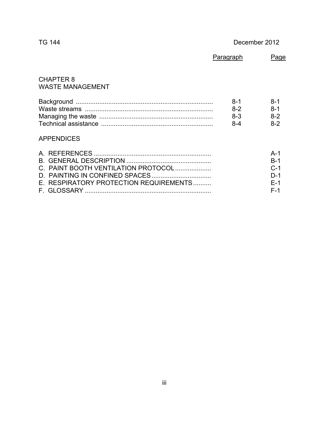TG 144 December 2012

|                                             | Paragraph | Page    |
|---------------------------------------------|-----------|---------|
| <b>CHAPTER 8</b><br><b>WASTE MANAGEMENT</b> |           |         |
|                                             | $8-1$     | $8-1$   |
|                                             | $8-2$     | $8 - 1$ |
|                                             | $8 - 3$   | $8-2$   |
|                                             | 8-4       | $8-2$   |

### APPENDICES

|                                        | $R-1$ |
|----------------------------------------|-------|
| C. PAINT BOOTH VENTILATION PROTOCOL    | $C-1$ |
|                                        | $D-1$ |
| E. RESPIRATORY PROTECTION REQUIREMENTS | $F-1$ |
|                                        | F-1   |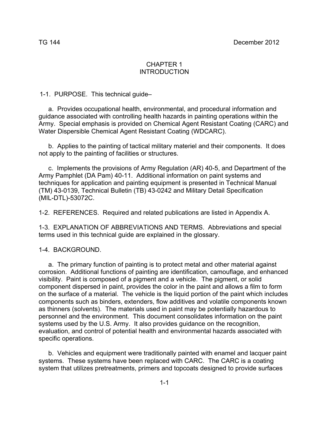#### CHAPTER 1 INTRODUCTION

1-1. PURPOSE. This technical guide–

 a. Provides occupational health, environmental, and procedural information and guidance associated with controlling health hazards in painting operations within the Army. Special emphasis is provided on Chemical Agent Resistant Coating (CARC) and Water Dispersible Chemical Agent Resistant Coating (WDCARC).

 b. Applies to the painting of tactical military materiel and their components. It does not apply to the painting of facilities or structures.

 c. Implements the provisions of Army Regulation (AR) 40-5, and Department of the Army Pamphlet (DA Pam) 40-11. Additional information on paint systems and techniques for application and painting equipment is presented in Technical Manual (TM) 43-0139, Technical Bulletin (TB) 43-0242 and Military Detail Specification (MIL-DTL)-53072C.

1-2. REFERENCES. Required and related publications are listed in Appendix A.

1-3. EXPLANATION OF ABBREVIATIONS AND TERMS. Abbreviations and special terms used in this technical guide are explained in the glossary.

1-4. BACKGROUND.

 a. The primary function of painting is to protect metal and other material against corrosion. Additional functions of painting are identification, camouflage, and enhanced visibility. Paint is composed of a pigment and a vehicle. The pigment, or solid component dispersed in paint, provides the color in the paint and allows a film to form on the surface of a material. The vehicle is the liquid portion of the paint which includes components such as binders, extenders, flow additives and volatile components known as thinners (solvents). The materials used in paint may be potentially hazardous to personnel and the environment. This document consolidates information on the paint systems used by the U.S. Army. It also provides guidance on the recognition, evaluation, and control of potential health and environmental hazards associated with specific operations.

 b. Vehicles and equipment were traditionally painted with enamel and lacquer paint systems. These systems have been replaced with CARC. The CARC is a coating system that utilizes pretreatments, primers and topcoats designed to provide surfaces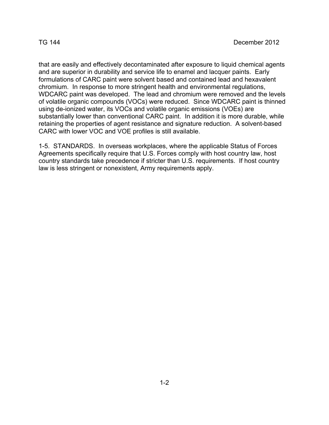that are easily and effectively decontaminated after exposure to liquid chemical agents and are superior in durability and service life to enamel and lacquer paints. Early formulations of CARC paint were solvent based and contained lead and hexavalent chromium. In response to more stringent health and environmental regulations, WDCARC paint was developed. The lead and chromium were removed and the levels of volatile organic compounds (VOCs) were reduced. Since WDCARC paint is thinned using de-ionized water, its VOCs and volatile organic emissions (VOEs) are substantially lower than conventional CARC paint. In addition it is more durable, while retaining the properties of agent resistance and signature reduction. A solvent-based CARC with lower VOC and VOE profiles is still available.

1-5. STANDARDS. In overseas workplaces, where the applicable Status of Forces Agreements specifically require that U.S. Forces comply with host country law, host country standards take precedence if stricter than U.S. requirements. If host country law is less stringent or nonexistent, Army requirements apply.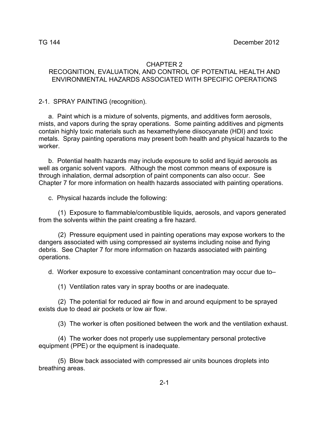#### CHAPTER 2 RECOGNITION, EVALUATION, AND CONTROL OF POTENTIAL HEALTH AND ENVIRONMENTAL HAZARDS ASSOCIATED WITH SPECIFIC OPERATIONS

2-1. SPRAY PAINTING (recognition).

 a. Paint which is a mixture of solvents, pigments, and additives form aerosols, mists, and vapors during the spray operations. Some painting additives and pigments contain highly toxic materials such as hexamethylene diisocyanate (HDI) and toxic metals. Spray painting operations may present both health and physical hazards to the worker.

 b. Potential health hazards may include exposure to solid and liquid aerosols as well as organic solvent vapors. Although the most common means of exposure is through inhalation, dermal adsorption of paint components can also occur. See Chapter 7 for more information on health hazards associated with painting operations.

c. Physical hazards include the following:

 (1) Exposure to flammable/combustible liquids, aerosols, and vapors generated from the solvents within the paint creating a fire hazard.

 (2) Pressure equipment used in painting operations may expose workers to the dangers associated with using compressed air systems including noise and flying debris. See Chapter 7 for more information on hazards associated with painting operations.

d. Worker exposure to excessive contaminant concentration may occur due to–

(1) Ventilation rates vary in spray booths or are inadequate.

 (2) The potential for reduced air flow in and around equipment to be sprayed exists due to dead air pockets or low air flow.

(3) The worker is often positioned between the work and the ventilation exhaust.

 (4) The worker does not properly use supplementary personal protective equipment (PPE) or the equipment is inadequate.

 (5) Blow back associated with compressed air units bounces droplets into breathing areas.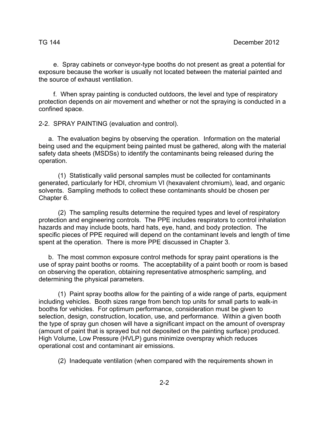e. Spray cabinets or conveyor-type booths do not present as great a potential for exposure because the worker is usually not located between the material painted and the source of exhaust ventilation.

 f. When spray painting is conducted outdoors, the level and type of respiratory protection depends on air movement and whether or not the spraying is conducted in a confined space.

2-2. SPRAY PAINTING (evaluation and control).

 a. The evaluation begins by observing the operation. Information on the material being used and the equipment being painted must be gathered, along with the material safety data sheets (MSDSs) to identify the contaminants being released during the operation.

 (1) Statistically valid personal samples must be collected for contaminants generated, particularly for HDI, chromium VI (hexavalent chromium), lead, and organic solvents. Sampling methods to collect these contaminants should be chosen per Chapter 6.

 (2) The sampling results determine the required types and level of respiratory protection and engineering controls. The PPE includes respirators to control inhalation hazards and may include boots, hard hats, eye, hand, and body protection. The specific pieces of PPE required will depend on the contaminant levels and length of time spent at the operation. There is more PPE discussed in Chapter 3.

 b. The most common exposure control methods for spray paint operations is the use of spray paint booths or rooms. The acceptability of a paint booth or room is based on observing the operation, obtaining representative atmospheric sampling, and determining the physical parameters.

 (1) Paint spray booths allow for the painting of a wide range of parts, equipment including vehicles. Booth sizes range from bench top units for small parts to walk-in booths for vehicles. For optimum performance, consideration must be given to selection, design, construction, location, use, and performance. Within a given booth the type of spray gun chosen will have a significant impact on the amount of overspray (amount of paint that is sprayed but not deposited on the painting surface) produced. High Volume, Low Pressure (HVLP) guns minimize overspray which reduces operational cost and contaminant air emissions.

(2) Inadequate ventilation (when compared with the requirements shown in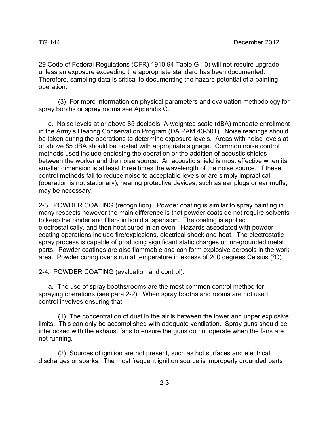29 Code of Federal Regulations (CFR) 1910.94 Table G-10) will not require upgrade unless an exposure exceeding the appropriate standard has been documented. Therefore, sampling data is critical to documenting the hazard potential of a painting operation.

 (3) For more information on physical parameters and evaluation methodology for spray booths or spray rooms see Appendix C.

 c. Noise levels at or above 85 decibels, A-weighted scale (dBA) mandate enrollment in the Army's Hearing Conservation Program (DA PAM 40-501). Noise readings should be taken during the operations to determine exposure levels. Areas with noise levels at or above 85 dBA should be posted with appropriate signage. Common noise control methods used include enclosing the operation or the addition of acoustic shields between the worker and the noise source. An acoustic shield is most effective when its smaller dimension is at least three times the wavelength of the noise source. If these control methods fail to reduce noise to acceptable levels or are simply impractical (operation is not stationary), hearing protective devices, such as ear plugs or ear muffs, may be necessary.

2-3. POWDER COATING (recognition). Powder coating is similar to spray painting in many respects however the main difference is that powder coats do not require solvents to keep the binder and fillers in liquid suspension. The coating is applied electrostatically, and then heat cured in an oven. Hazards associated with powder coating operations include fire/explosions, electrical shock and heat. The electrostatic spray process is capable of producing significant static charges on un-grounded metal parts. Powder coatings are also flammable and can form explosive aerosols in the work area. Powder curing ovens run at temperature in excess of 200 degrees Celsius (ºC).

2-4. POWDER COATING (evaluation and control).

 a. The use of spray booths/rooms are the most common control method for spraying operations (see para 2-2). When spray booths and rooms are not used, control involves ensuring that:

 (1) The concentration of dust in the air is between the lower and upper explosive limits. This can only be accomplished with adequate ventilation. Spray guns should be interlocked with the exhaust fans to ensure the guns do not operate when the fans are not running.

 (2) Sources of ignition are not present, such as hot surfaces and electrical discharges or sparks. The most frequent ignition source is improperly grounded parts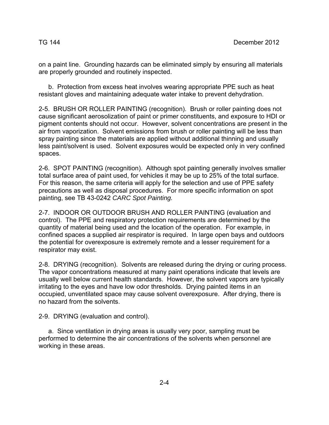on a paint line. Grounding hazards can be eliminated simply by ensuring all materials are properly grounded and routinely inspected.

 b. Protection from excess heat involves wearing appropriate PPE such as heat resistant gloves and maintaining adequate water intake to prevent dehydration.

2-5. BRUSH OR ROLLER PAINTING (recognition). Brush or roller painting does not cause significant aerosolization of paint or primer constituents, and exposure to HDI or pigment contents should not occur. However, solvent concentrations are present in the air from vaporization. Solvent emissions from brush or roller painting will be less than spray painting since the materials are applied without additional thinning and usually less paint/solvent is used. Solvent exposures would be expected only in very confined spaces.

2-6. SPOT PAINTING (recognition). Although spot painting generally involves smaller total surface area of paint used, for vehicles it may be up to 25% of the total surface. For this reason, the same criteria will apply for the selection and use of PPE safety precautions as well as disposal procedures. For more specific information on spot painting, see TB 43-0242 *CARC Spot Painting.* 

2-7. INDOOR OR OUTDOOR BRUSH AND ROLLER PAINTING (evaluation and control). The PPE and respiratory protection requirements are determined by the quantity of material being used and the location of the operation. For example, in confined spaces a supplied air respirator is required. In large open bays and outdoors the potential for overexposure is extremely remote and a lesser requirement for a respirator may exist.

2-8. DRYING (recognition). Solvents are released during the drying or curing process. The vapor concentrations measured at many paint operations indicate that levels are usually well below current health standards. However, the solvent vapors are typically irritating to the eyes and have low odor thresholds. Drying painted items in an occupied, unventilated space may cause solvent overexposure. After drying, there is no hazard from the solvents.

2-9. DRYING (evaluation and control).

 a. Since ventilation in drying areas is usually very poor, sampling must be performed to determine the air concentrations of the solvents when personnel are working in these areas.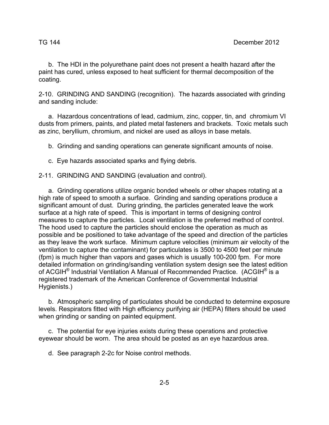b. The HDI in the polyurethane paint does not present a health hazard after the paint has cured, unless exposed to heat sufficient for thermal decomposition of the coating.

2-10. GRINDING AND SANDING (recognition). The hazards associated with grinding and sanding include:

 a. Hazardous concentrations of lead, cadmium, zinc, copper, tin, and chromium VI dusts from primers, paints, and plated metal fasteners and brackets. Toxic metals such as zinc, beryllium, chromium, and nickel are used as alloys in base metals.

b. Grinding and sanding operations can generate significant amounts of noise.

c. Eye hazards associated sparks and flying debris.

2-11. GRINDING AND SANDING (evaluation and control).

 a. Grinding operations utilize organic bonded wheels or other shapes rotating at a high rate of speed to smooth a surface. Grinding and sanding operations produce a significant amount of dust. During grinding, the particles generated leave the work surface at a high rate of speed. This is important in terms of designing control measures to capture the particles. Local ventilation is the preferred method of control. The hood used to capture the particles should enclose the operation as much as possible and be positioned to take advantage of the speed and direction of the particles as they leave the work surface. Minimum capture velocities (minimum air velocity of the ventilation to capture the contaminant) for particulates is 3500 to 4500 feet per minute (fpm) is much higher than vapors and gases which is usually 100-200 fpm. For more detailed information on grinding/sanding ventilation system design see the latest edition of ACGIH<sup>®</sup> Industrial Ventilation A Manual of Recommended Practice. (ACGIH<sup>®</sup> is a registered trademark of the American Conference of Governmental Industrial Hygienists.)

 b. Atmospheric sampling of particulates should be conducted to determine exposure levels. Respirators fitted with High efficiency purifying air (HEPA) filters should be used when grinding or sanding on painted equipment.

 c. The potential for eye injuries exists during these operations and protective eyewear should be worn. The area should be posted as an eye hazardous area.

d. See paragraph 2-2c for Noise control methods.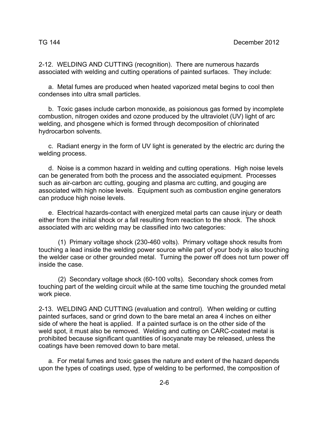2-12. WELDING AND CUTTING (recognition). There are numerous hazards associated with welding and cutting operations of painted surfaces. They include:

 a. Metal fumes are produced when heated vaporized metal begins to cool then condenses into ultra small particles.

 b. Toxic gases include carbon monoxide, as poisionous gas formed by incomplete combustion, nitrogen oxides and ozone produced by the ultraviolet (UV) light of arc welding, and phosgene which is formed through decomposition of chlorinated hydrocarbon solvents.

 c. Radiant energy in the form of UV light is generated by the electric arc during the welding process.

 d. Noise is a common hazard in welding and cutting operations. High noise levels can be generated from both the process and the associated equipment. Processes such as air-carbon arc cutting, gouging and plasma arc cutting, and gouging are associated with high noise levels. Equipment such as combustion engine generators can produce high noise levels.

 e. Electrical hazards-contact with energized metal parts can cause injury or death either from the initial shock or a fall resulting from reaction to the shock. The shock associated with arc welding may be classified into two categories:

 (1) Primary voltage shock (230-460 volts). Primary voltage shock results from touching a lead inside the welding power source while part of your body is also touching the welder case or other grounded metal. Turning the power off does not turn power off inside the case.

 (2) Secondary voltage shock (60-100 volts). Secondary shock comes from touching part of the welding circuit while at the same time touching the grounded metal work piece.

2-13. WELDING AND CUTTING (evaluation and control). When welding or cutting painted surfaces, sand or grind down to the bare metal an area 4 inches on either side of where the heat is applied. If a painted surface is on the other side of the weld spot, it must also be removed. Welding and cutting on CARC-coated metal is prohibited because significant quantities of isocyanate may be released, unless the coatings have been removed down to bare metal.

 a. For metal fumes and toxic gases the nature and extent of the hazard depends upon the types of coatings used, type of welding to be performed, the composition of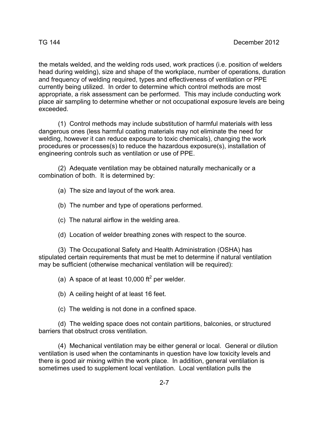the metals welded, and the welding rods used, work practices (i.e. position of welders head during welding), size and shape of the workplace, number of operations, duration and frequency of welding required, types and effectiveness of ventilation or PPE currently being utilized. In order to determine which control methods are most appropriate, a risk assessment can be performed. This may include conducting work place air sampling to determine whether or not occupational exposure levels are being exceeded.

 (1) Control methods may include substitution of harmful materials with less dangerous ones (less harmful coating materials may not eliminate the need for welding, however it can reduce exposure to toxic chemicals), changing the work procedures or processes(s) to reduce the hazardous exposure(s), installation of engineering controls such as ventilation or use of PPE.

 (2) Adequate ventilation may be obtained naturally mechanically or a combination of both. It is determined by:

(a) The size and layout of the work area.

(b) The number and type of operations performed.

- (c) The natural airflow in the welding area.
- (d) Location of welder breathing zones with respect to the source.

 (3) The Occupational Safety and Health Administration (OSHA) has stipulated certain requirements that must be met to determine if natural ventilation may be sufficient (otherwise mechanical ventilation will be required):

(a) A space of at least 10,000  $\text{ft}^2$  per welder.

(b) A ceiling height of at least 16 feet.

(c) The welding is not done in a confined space.

 (d) The welding space does not contain partitions, balconies, or structured barriers that obstruct cross ventilation.

 (4) Mechanical ventilation may be either general or local. General or dilution ventilation is used when the contaminants in question have low toxicity levels and there is good air mixing within the work place. In addition, general ventilation is sometimes used to supplement local ventilation. Local ventilation pulls the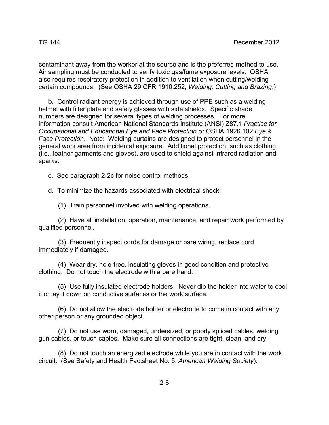contaminant away from the worker at the source and is the preferred method to use. Air sampling must be conducted to verify toxic gas/fume exposure levels. OSHA also requires respiratory protection in addition to ventilation when cutting/welding certain compounds. (See OSHA 29 CFR 1910.252, *Welding, Cutting and Brazing*.)

 b. Control radiant energy is achieved through use of PPE such as a welding helmet with filter plate and safety glasses with side shields. Specific shade numbers are designed for several types of welding processes. For more information consult American National Standards Institute (ANSI) Z87.1 *Practice for Occupational and Educational Eye and Face Protection* or OSHA 1926.102 *Eye & Face Protection*. Note: Welding curtains are designed to protect personnel in the general work area from incidental exposure. Additional protection, such as clothing (i.e., leather garments and gloves), are used to shield against infrared radiation and sparks.

c. See paragraph 2-2c for noise control methods.

d. To minimize the hazards associated with electrical shock:

(1) Train personnel involved with welding operations.

 (2) Have all installation, operation, maintenance, and repair work performed by qualified personnel.

 (3) Frequently inspect cords for damage or bare wiring, replace cord immediately if damaged.

 (4) Wear dry, hole-free, insulating gloves in good condition and protective clothing. Do not touch the electrode with a bare hand.

 (5) Use fully insulated electrode holders. Never dip the holder into water to cool it or lay it down on conductive surfaces or the work surface.

 (6) Do not allow the electrode holder or electrode to come in contact with any other person or any grounded object.

 (7) Do not use worn, damaged, undersized, or poorly spliced cables, welding gun cables, or touch cables. Make sure all connections are tight, clean, and dry.

 (8) Do not touch an energized electrode while you are in contact with the work circuit. (See Safety and Health Factsheet No. 5, *American Welding Society*).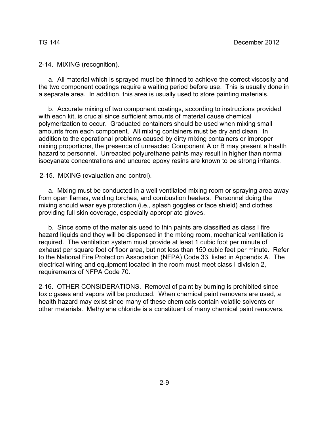2-14. MIXING (recognition).

 a. All material which is sprayed must be thinned to achieve the correct viscosity and the two component coatings require a waiting period before use. This is usually done in a separate area. In addition, this area is usually used to store painting materials.

 b. Accurate mixing of two component coatings, according to instructions provided with each kit, is crucial since sufficient amounts of material cause chemical polymerization to occur. Graduated containers should be used when mixing small amounts from each component. All mixing containers must be dry and clean. In addition to the operational problems caused by dirty mixing containers or improper mixing proportions, the presence of unreacted Component A or B may present a health hazard to personnel. Unreacted polyurethane paints may result in higher than normal isocyanate concentrations and uncured epoxy resins are known to be strong irritants.

2-15. MIXING (evaluation and control).

 a. Mixing must be conducted in a well ventilated mixing room or spraying area away from open flames, welding torches, and combustion heaters. Personnel doing the mixing should wear eye protection (i.e., splash goggles or face shield) and clothes providing full skin coverage, especially appropriate gloves.

 b. Since some of the materials used to thin paints are classified as class I fire hazard liquids and they will be dispensed in the mixing room, mechanical ventilation is required. The ventilation system must provide at least 1 cubic foot per minute of exhaust per square foot of floor area, but not less than 150 cubic feet per minute. Refer to the National Fire Protection Association (NFPA) Code 33, listed in Appendix A. The electrical wiring and equipment located in the room must meet class I division 2, requirements of NFPA Code 70.

2-16. OTHER CONSIDERATIONS. Removal of paint by burning is prohibited since toxic gases and vapors will be produced. When chemical paint removers are used, a health hazard may exist since many of these chemicals contain volatile solvents or other materials. Methylene chloride is a constituent of many chemical paint removers.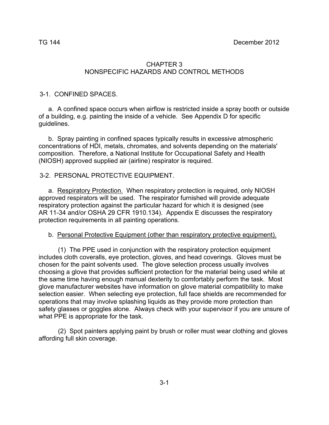#### CHAPTER 3 NONSPECIFIC HAZARDS AND CONTROL METHODS

#### 3-1. CONFINED SPACES.

 a. A confined space occurs when airflow is restricted inside a spray booth or outside of a building, e.g. painting the inside of a vehicle. See Appendix D for specific guidelines.

 b. Spray painting in confined spaces typically results in excessive atmospheric concentrations of HDI, metals, chromates, and solvents depending on the materials' composition. Therefore, a National Institute for Occupational Safety and Health (NIOSH) approved supplied air (airline) respirator is required.

#### 3-2. PERSONAL PROTECTIVE EQUIPMENT.

 a. Respiratory Protection. When respiratory protection is required, only NIOSH approved respirators will be used. The respirator furnished will provide adequate respiratory protection against the particular hazard for which it is designed (see AR 11-34 and/or OSHA 29 CFR 1910.134). Appendix E discusses the respiratory protection requirements in all painting operations.

#### b. Personal Protective Equipment (other than respiratory protective equipment).

 (1) The PPE used in conjunction with the respiratory protection equipment includes cloth coveralls, eye protection, gloves, and head coverings. Gloves must be chosen for the paint solvents used. The glove selection process usually involves choosing a glove that provides sufficient protection for the material being used while at the same time having enough manual dexterity to comfortably perform the task. Most glove manufacturer websites have information on glove material compatibility to make selection easier. When selecting eye protection, full face shields are recommended for operations that may involve splashing liquids as they provide more protection than safety glasses or goggles alone. Always check with your supervisor if you are unsure of what PPE is appropriate for the task.

 (2) Spot painters applying paint by brush or roller must wear clothing and gloves affording full skin coverage.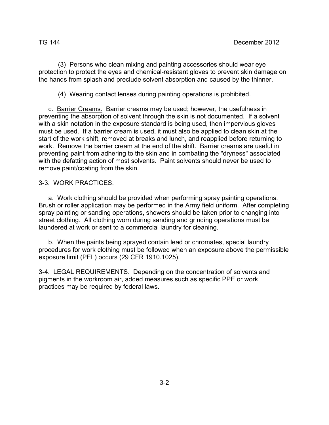(3) Persons who clean mixing and painting accessories should wear eye protection to protect the eyes and chemical-resistant gloves to prevent skin damage on the hands from splash and preclude solvent absorption and caused by the thinner.

(4) Wearing contact lenses during painting operations is prohibited.

 c. Barrier Creams. Barrier creams may be used; however, the usefulness in preventing the absorption of solvent through the skin is not documented. If a solvent with a skin notation in the exposure standard is being used, then impervious gloves must be used. If a barrier cream is used, it must also be applied to clean skin at the start of the work shift, removed at breaks and lunch, and reapplied before returning to work. Remove the barrier cream at the end of the shift. Barrier creams are useful in preventing paint from adhering to the skin and in combating the "dryness" associated with the defatting action of most solvents. Paint solvents should never be used to remove paint/coating from the skin.

#### 3-3. WORK PRACTICES.

 a. Work clothing should be provided when performing spray painting operations. Brush or roller application may be performed in the Army field uniform. After completing spray painting or sanding operations, showers should be taken prior to changing into street clothing. All clothing worn during sanding and grinding operations must be laundered at work or sent to a commercial laundry for cleaning.

 b. When the paints being sprayed contain lead or chromates, special laundry procedures for work clothing must be followed when an exposure above the permissible exposure limit (PEL) occurs (29 CFR 1910.1025).

3-4. LEGAL REQUIREMENTS. Depending on the concentration of solvents and pigments in the workroom air, added measures such as specific PPE or work practices may be required by federal laws.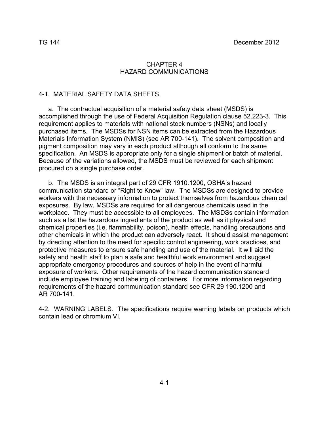#### CHAPTER 4 HAZARD COMMUNICATIONS

#### 4-1. MATERIAL SAFETY DATA SHEETS.

 a. The contractual acquisition of a material safety data sheet (MSDS) is accomplished through the use of Federal Acquisition Regulation clause 52.223-3. This requirement applies to materials with national stock numbers (NSNs) and locally purchased items. The MSDSs for NSN items can be extracted from the Hazardous Materials Information System (NMIS) (see AR 700-141). The solvent composition and pigment composition may vary in each product although all conform to the same specification. An MSDS is appropriate only for a single shipment or batch of material. Because of the variations allowed, the MSDS must be reviewed for each shipment procured on a single purchase order.

 b. The MSDS is an integral part of 29 CFR 1910.1200, OSHA's hazard communication standard or "Right to Know" law. The MSDSs are designed to provide workers with the necessary information to protect themselves from hazardous chemical exposures. By law, MSDSs are required for all dangerous chemicals used in the workplace. They must be accessible to all employees. The MSDSs contain information such as a list the hazardous ingredients of the product as well as it physical and chemical properties (i.e. flammability, poison), health effects, handling precautions and other chemicals in which the product can adversely react. It should assist management by directing attention to the need for specific control engineering, work practices, and protective measures to ensure safe handling and use of the material. It will aid the safety and health staff to plan a safe and healthful work environment and suggest appropriate emergency procedures and sources of help in the event of harmful exposure of workers. Other requirements of the hazard communication standard include employee training and labeling of containers. For more information regarding requirements of the hazard communication standard see CFR 29 190.1200 and AR 700-141.

4-2. WARNING LABELS. The specifications require warning labels on products which contain lead or chromium VI.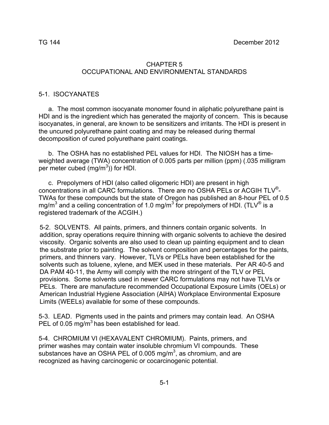#### 5-1. ISOCYANATES

 a. The most common isocyanate monomer found in aliphatic polyurethane paint is HDI and is the ingredient which has generated the majority of concern. This is because isocyanates, in general, are known to be sensitizers and irritants. The HDI is present in the uncured polyurethane paint coating and may be released during thermal decomposition of cured polyurethane paint coatings.

 b. The OSHA has no established PEL values for HDI. The NIOSH has a timeweighted average (TWA) concentration of 0.005 parts per million (ppm) (.035 milligram per meter cubed  $(mg/m^3)$  for HDI.

 c. Prepolymers of HDI (also called oligomeric HDI) are present in high concentrations in all CARC formulations. There are no OSHA PELs or ACGIH TLV®- TWAs for these compounds but the state of Oregon has published an 8-hour PEL of 0.5 mg/m<sup>3</sup> and a ceiling concentration of 1.0 mg/m<sup>3</sup> for prepolymers of HDI. (TLV® is a registered trademark of the ACGIH.)

5-2. SOLVENTS. All paints, primers, and thinners contain organic solvents. In addition, spray operations require thinning with organic solvents to achieve the desired viscosity. Organic solvents are also used to clean up painting equipment and to clean the substrate prior to painting. The solvent composition and percentages for the paints, primers, and thinners vary. However, TLVs or PELs have been established for the solvents such as toluene, xylene, and MEK used in these materials. Per AR 40-5 and DA PAM 40-11, the Army will comply with the more stringent of the TLV or PEL provisions. Some solvents used in newer CARC formulations may not have TLVs or PELs. There are manufacture recommended Occupational Exposure Limits (OELs) or American Industrial Hygiene Association (AIHA) Workplace Environmental Exposure Limits (WEELs) available for some of these compounds.

5-3. LEAD. Pigments used in the paints and primers may contain lead. An OSHA PEL of 0.05 mg/m<sup>3</sup> has been established for lead.

5-4. CHROMIUM VI (HEXAVALENT CHROMIUM). Paints, primers, and primer washes may contain water insoluble chromium VI compounds. These substances have an OSHA PEL of 0.005 mg/m<sup>3</sup>, as chromium, and are recognized as having carcinogenic or cocarcinogenic potential.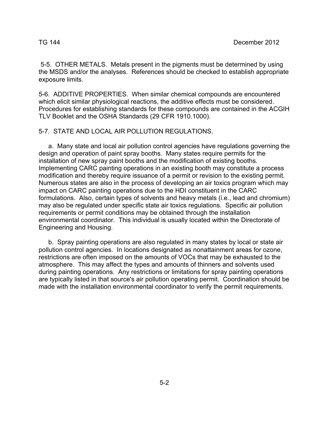5-5. OTHER METALS. Metals present in the pigments must be determined by using the MSDS and/or the analyses. References should be checked to establish appropriate exposure limits.

5-6. ADDITIVE PROPERTIES. When similar chemical compounds are encountered which elicit similar physiological reactions, the additive effects must be considered. Procedures for establishing standards for these compounds are contained in the ACGIH TLV Booklet and the OSHA Standards (29 CFR 1910.1000).

5-7. STATE AND LOCAL AIR POLLUTION REGULATIONS.

 a. Many state and local air pollution control agencies have regulations governing the design and operation of paint spray booths. Many states require permits for the installation of new spray paint booths and the modification of existing booths. Implementing CARC painting operations in an existing booth may constitute a process modification and thereby require issuance of a permit or revision to the existing permit. Numerous states are also in the process of developing an air toxics program which may impact on CARC painting operations due to the HDI constituent in the CARC formulations. Also, certain types of solvents and heavy metals (i.e., lead and chromium) may also be regulated under specific state air toxics regulations. Specific air pollution requirements or permit conditions may be obtained through the installation environmental coordinator. This individual is usually located within the Directorate of Engineering and Housing.

 b. Spray painting operations are also regulated in many states by local or state air pollution control agencies. In locations designated as nonattainment areas for ozone, restrictions are often imposed on the amounts of VOCs that may be exhausted to the atmosphere. This may affect the types and amounts of thinners and solvents used during painting operations. Any restrictions or limitations for spray painting operations are typically listed in that source's air pollution operating permit. Coordination should be made with the installation environmental coordinator to verify the permit requirements.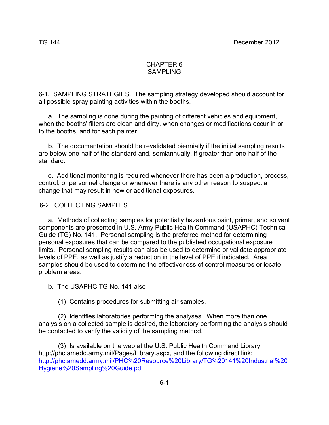#### CHAPTER 6 SAMPI ING

6-1. SAMPLING STRATEGIES. The sampling strategy developed should account for all possible spray painting activities within the booths.

 a. The sampling is done during the painting of different vehicles and equipment, when the booths' filters are clean and dirty, when changes or modifications occur in or to the booths, and for each painter.

 b. The documentation should be revalidated biennially if the initial sampling results are below one-half of the standard and, semiannually, if greater than one-half of the standard.

 c. Additional monitoring is required whenever there has been a production, process, control, or personnel change or whenever there is any other reason to suspect a change that may result in new or additional exposures.

#### 6-2. COLLECTING SAMPLES.

 a. Methods of collecting samples for potentially hazardous paint, primer, and solvent components are presented in U.S. Army Public Health Command (USAPHC) Technical Guide (TG) No. 141. Personal sampling is the preferred method for determining personal exposures that can be compared to the published occupational exposure limits. Personal sampling results can also be used to determine or validate appropriate levels of PPE, as well as justify a reduction in the level of PPE if indicated. Area samples should be used to determine the effectiveness of control measures or locate problem areas.

b. The USAPHC TG No. 141 also–

(1) Contains procedures for submitting air samples.

 (2) Identifies laboratories performing the analyses. When more than one analysis on a collected sample is desired, the laboratory performing the analysis should be contacted to verify the validity of the sampling method.

 (3) Is available on the web at the U.S. Public Health Command Library: http://phc.amedd.army.mil/Pages/Library.aspx, and the following direct link: http://phc.amedd.army.mil/PHC%20Resource%20Library/TG%20141%20Industrial%20 Hygiene%20Sampling%20Guide.pdf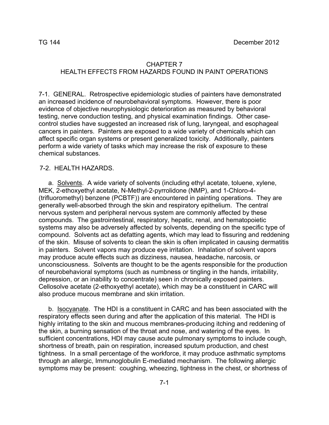#### CHAPTER 7 HEALTH EFFECTS FROM HAZARDS FOUND IN PAINT OPERATIONS

7-1. GENERAL. Retrospective epidemiologic studies of painters have demonstrated an increased incidence of neurobehavioral symptoms. However, there is poor evidence of objective neurophysiologic deterioration as measured by behavioral testing, nerve conduction testing, and physical examination findings. Other casecontrol studies have suggested an increased risk of lung, laryngeal, and esophageal cancers in painters. Painters are exposed to a wide variety of chemicals which can affect specific organ systems or present generalized toxicity. Additionally, painters perform a wide variety of tasks which may increase the risk of exposure to these chemical substances.

#### 7-2. HEALTH HAZARDS.

 a. Solvents. A wide variety of solvents (including ethyl acetate, toluene, xylene, MEK, 2-ethoxyethyl acetate, N-Methyl-2-pyrrolidone (NMP), and 1-Chloro-4- (trifluoromethyl) benzene (PCBTF)) are encountered in painting operations. They are generally well-absorbed through the skin and respiratory epithelium. The central nervous system and peripheral nervous system are commonly affected by these compounds. The gastrointestinal, respiratory, hepatic, renal, and hematopoietic systems may also be adversely affected by solvents, depending on the specific type of compound. Solvents act as defatting agents, which may lead to fissuring and reddening of the skin. Misuse of solvents to clean the skin is often implicated in causing dermatitis in painters. Solvent vapors may produce eye irritation. Inhalation of solvent vapors may produce acute effects such as dizziness, nausea, headache, narcosis, or unconsciousness. Solvents are thought to be the agents responsible for the production of neurobehavioral symptoms (such as numbness or tingling in the hands, irritability, depression, or an inability to concentrate) seen in chronically exposed painters. Cellosolve acetate (2-ethoxyethyl acetate), which may be a constituent in CARC will also produce mucous membrane and skin irritation.

 b. Isocyanate. The HDI is a constituent in CARC and has been associated with the respiratory effects seen during and after the application of this material. The HDI is highly irritating to the skin and mucous membranes-producing itching and reddening of the skin, a burning sensation of the throat and nose, and watering of the eyes. In sufficient concentrations, HDI may cause acute pulmonary symptoms to include cough, shortness of breath, pain on respiration, increased sputum production, and chest tightness. In a small percentage of the workforce, it may produce asthmatic symptoms through an allergic, Immunoglobulin E-mediated mechanism. The following allergic symptoms may be present: coughing, wheezing, tightness in the chest, or shortness of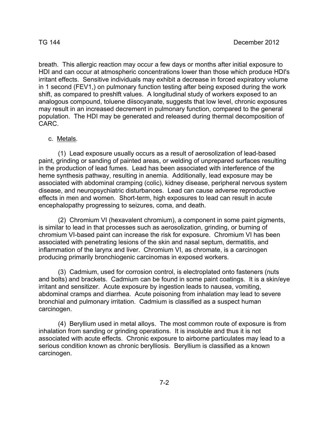breath. This allergic reaction may occur a few days or months after initial exposure to HDI and can occur at atmospheric concentrations lower than those which produce HDI's irritant effects. Sensitive individuals may exhibit a decrease in forced expiratory volume in 1 second (FEV1,) on pulmonary function testing after being exposed during the work shift, as compared to preshlft values. A longitudinal study of workers exposed to an analogous compound, toluene diisocyanate, suggests that low level, chronic exposures may result in an increased decrement in pulmonary function, compared to the general population. The HDI may be generated and released during thermal decomposition of CARC.

#### c. Metals.

 (1) Lead exposure usually occurs as a result of aerosolization of lead-based paint, grinding or sanding of painted areas, or welding of unprepared surfaces resulting in the production of lead fumes. Lead has been associated with interference of the heme synthesis pathway, resulting in anemia. Additionally, lead exposure may be associated with abdominal cramping (colic), kidney disease, peripheral nervous system disease, and neuropsychiatric disturbances. Lead can cause adverse reproductive effects in men and women. Short-term, high exposures to lead can result in acute encephalopathy progressing to seizures, coma, and death.

 (2) Chromium VI (hexavalent chromium), a component in some paint pigments, is similar to lead in that processes such as aerosolization, grinding, or burning of chromium VI-based paint can increase the risk for exposure. Chromium VI has been associated with penetrating lesions of the skin and nasal septum, dermatitis, and inflammation of the larynx and liver. Chromium VI, as chromate, is a carcinogen producing primarily bronchiogenic carcinomas in exposed workers.

 (3) Cadmium, used for corrosion control, is electroplated onto fasteners (nuts and bolts) and brackets. Cadmium can be found in some paint coatings. It is a skin/eye irritant and sensitizer. Acute exposure by ingestion leads to nausea, vomiting, abdominal cramps and diarrhea. Acute poisoning from inhalation may lead to severe bronchial and pulmonary irritation. Cadmium is classified as a suspect human carcinogen.

 (4) Beryllium used in metal alloys. The most common route of exposure is from inhalation from sanding or grinding operations. It is insoluble and thus it is not associated with acute effects. Chronic exposure to airborne particulates may lead to a serious condition known as chronic berylliosis. Beryllium is classified as a known carcinogen.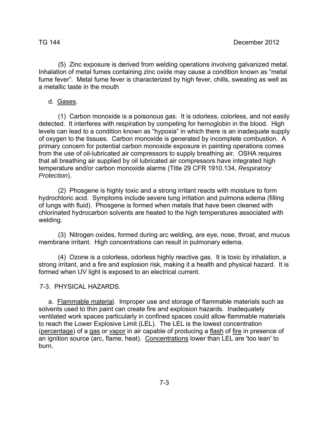(5) Zinc exposure is derived from welding operations involving galvanized metal. Inhalation of metal fumes containing zinc oxide may cause a condition known as "metal fume fever". Metal fume fever is characterized by high fever, chills, sweating as well as a metallic taste in the mouth

#### d. Gases.

 (1) Carbon monoxide is a poisonous gas. It is odorless, colorless, and not easily detected. It interferes with respiration by competing for hemoglobin in the blood. High levels can lead to a condition known as "hypoxia" in which there is an inadequate supply of oxygen to the tissues. Carbon monoxide is generated by incomplete combustion. A primary concern for potential carbon monoxide exposure in painting operations comes from the use of oil-lubricated air compressors to supply breathing air. OSHA requires that all breathing air supplied by oil lubricated air compressors have integrated high temperature and/or carbon monoxide alarms (Title 29 CFR 1910.134, *Respiratory Protection*).

 (2) Phosgene is highly toxic and a strong irritant reacts with moisture to form hydrochloric acid. Symptoms include severe lung irritation and pulmona edema (filling of lungs with fluid). Phosgene is formed when metals that have been cleaned with chlorinated hydrocarbon solvents are heated to the high temperatures associated with welding.

 (3) Nitrogen oxides, formed during arc welding, are eye, nose, throat, and mucus membrane irritant. High concentrations can result in pulmonary edema.

 (4) Ozone is a colorless, odorless highly reactive gas. It is toxic by inhalation, a strong irritant, and a fire and explosion risk, making it a health and physical hazard. It is formed when UV light is exposed to an electrical current.

#### 7-3. PHYSICAL HAZARDS.

 a. Flammable material. Improper use and storage of flammable materials such as solvents used to thin paint can create fire and explosion hazards. Inadequately ventilated work spaces particularly in confined spaces could allow flammable materials to reach the Lower Explosive Limit (LEL). The LEL is the lowest concentration (percentage) of a gas or vapor in air capable of producing a flash of fire in presence of an ignition source (arc, flame, heat). Concentrations lower than LEL are 'too lean' to burn.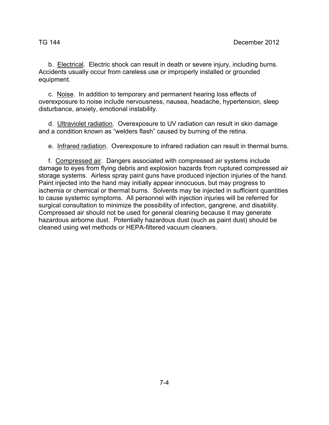b. Electrical. Electric shock can result in death or severe injury, including burns. Accidents usually occur from careless use or improperly installed or grounded equipment.

 c. Noise. In addition to temporary and permanent hearing loss effects of overexposure to noise include nervousness, nausea, headache, hypertension, sleep disturbance, anxiety, emotional instability.

d. Ultraviolet radiation. Overexposure to UV radiation can result in skin damage and a condition known as "welders flash" caused by burning of the retina.

e. Infrared radiation. Overexposure to infrared radiation can result in thermal burns.

 f. Compressed air. Dangers associated with compressed air systems include damage to eyes from flying debris and explosion hazards from ruptured compressed air storage systems. Airless spray paint guns have produced injection injuries of the hand. Paint injected into the hand may initially appear innocuous, but may progress to ischemia or chemical or thermal burns. Solvents may be injected in sufficient quantities to cause systemic symptoms. All personnel with injection injuries will be referred for surgical consultation to minimize the possibility of infection, gangrene, and disability. Compressed air should not be used for general cleaning because it may generate hazardous airborne dust. Potentially hazardous dust (such as paint dust) should be cleaned using wet methods or HEPA-filtered vacuum cleaners.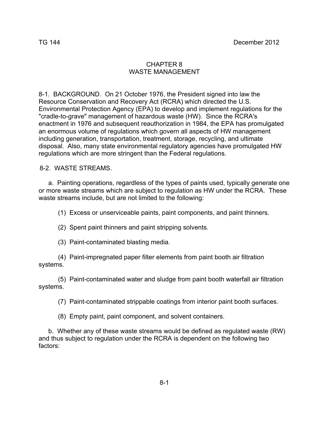### CHAPTER 8 WASTE MANAGEMENT

8-1. BACKGROUND. On 21 October 1976, the President signed into law the Resource Conservation and Recovery Act (RCRA) which directed the U.S. Environmental Protection Agency (EPA) to develop and implement regulations for the "cradle-to-grave" management of hazardous waste (HW). Since the RCRA's enactment in 1976 and subsequent reauthorization in 1984, the EPA has promulgated an enormous volume of regulations which govern all aspects of HW management including generation, transportation, treatment, storage, recycling, and ultimate disposal. Also, many state environmental regulatory agencies have promulgated HW regulations which are more stringent than the Federal regulations.

8-2. WASTE STREAMS.

 a. Painting operations, regardless of the types of paints used, typically generate one or more waste streams which are subject to regulation as HW under the RCRA. These waste streams include, but are not limited to the following:

(1) Excess or unserviceable paints, paint components, and paint thinners.

(2) Spent paint thinners and paint stripping solvents.

(3) Paint-contaminated blasting media.

 (4) Paint-impregnated paper filter elements from paint booth air filtration systems.

 (5) Paint-contaminated water and sludge from paint booth waterfall air filtration systems.

(7) Paint-contaminated strippable coatings from interior paint booth surfaces.

(8) Empty paint, paint component, and solvent containers.

 b. Whether any of these waste streams would be defined as regulated waste (RW) and thus subject to regulation under the RCRA is dependent on the following two factors: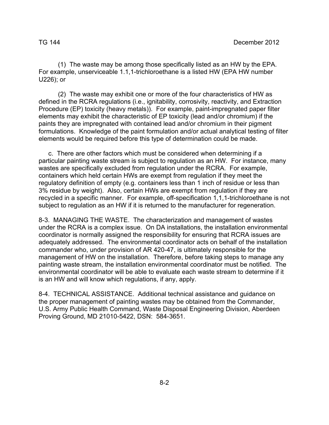(1) The waste may be among those specifically listed as an HW by the EPA. For example, unserviceable 1.1,1-trichloroethane is a listed HW (EPA HW number U226); or

 (2) The waste may exhibit one or more of the four characteristics of HW as defined in the RCRA regulations (i.e., ignitability, corrosivity, reactivity, and Extraction Procedure (EP) toxicity (heavy metals)). For example, paint-impregnated paper filter elements may exhibit the characteristic of EP toxicity (lead and/or chromium) if the paints they are impregnated with contained lead and/or chromium in their pigment formulations. Knowledge of the paint formulation and/or actual analytical testing of filter elements would be required before this type of determination could be made.

 c. There are other factors which must be considered when determining if a particular painting waste stream is subject to regulation as an HW. For instance, many wastes are specifically excluded from regulation under the RCRA. For example, containers which held certain HWs are exempt from regulation if they meet the regulatory definition of empty (e.g. containers less than 1 inch of residue or less than 3% residue by weight). Also, certain HWs are exempt from regulation if they are recycled in a specific manner. For example, off-specification 1,1,1-trichloroethane is not subject to regulation as an HW if it is returned to the manufacturer for regeneration.

8-3. MANAGING THE WASTE. The characterization and management of wastes under the RCRA is a complex issue. On DA installations, the installation environmental coordinator is normally assigned the responsibility for ensuring that RCRA issues are adequately addressed. The environmental coordinator acts on behalf of the installation commander who, under provision of AR 420-47, is ultimately responsible for the management of HW on the installation. Therefore, before taking steps to manage any painting waste stream, the installation environmental coordinator must be notified. The environmental coordinator will be able to evaluate each waste stream to determine if it is an HW and will know which regulations, if any, apply.

8-4. TECHNICAL ASSISTANCE. Additional technical assistance and guidance on the proper management of painting wastes may be obtained from the Commander, U.S. Army Public Health Command, Waste Disposal Engineering Division, Aberdeen Proving Ground, MD 21010-5422, DSN: 584-3651.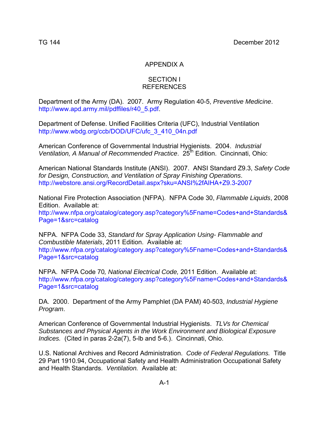## APPENDIX A

#### SECTION I REFERENCES

Department of the Army (DA). 2007. Army Regulation 40-5, *Preventive Medicine*. http://www.apd.army.mil/pdffiles/r40\_5.pdf.

Department of Defense. Unified Facilities Criteria (UFC), Industrial Ventilation http://www.wbdg.org/ccb/DOD/UFC/ufc\_3\_410\_04n.pdf

American Conference of Governmental Industrial Hygienists. 2004. *Industrial Ventilation, A Manual of Recommended Practice.* 25<sup>th</sup> Edition. Cincinnati, Ohio:

American National Standards Institute (ANSI). 2007. ANSI Standard Z9.3, *Safety Code for Design, Construction, and Ventilation of Spray Finishing Operations*. http://webstore.ansi.org/RecordDetail.aspx?sku=ANSI%2fAIHA+Z9.3-2007

National Fire Protection Association (NFPA). NFPA Code 30, *Flammable Liquids*, 2008 Edition. Available at: http://www.nfpa.org/catalog/category.asp?category%5Fname=Codes+and+Standards& Page=1&src=catalog

NFPA. NFPA Code 33, *Standard for Spray Application Using- Flammable and Combustible Materials*, 2011 Edition. Available at: http://www.nfpa.org/catalog/category.asp?category%5Fname=Codes+and+Standards& Page=1&src=catalog

NFPA. NFPA Code 70*, National Electrical Code,* 2011 Edition. Available at: http://www.nfpa.org/catalog/category.asp?category%5Fname=Codes+and+Standards& Page=1&src=catalog

DA. 2000. Department of the Army Pamphlet (DA PAM) 40-503, *Industrial Hygiene Program*.

American Conference of Governmental Industrial Hygienists. *TLVs for Chemical Substances and Physical Agents in the Work Environment and Biological Exposure Indices.* (Cited in paras 2-2a(7), 5-lb and 5-6.). Cincinnati, Ohio.

U.S. National Archives and Record Administration. *Code of Federal Regulations.* Title 29 Part 1910.94, Occupational Safety and Health Administration Occupational Safety and Health Standards. *Ventilation.* Available at: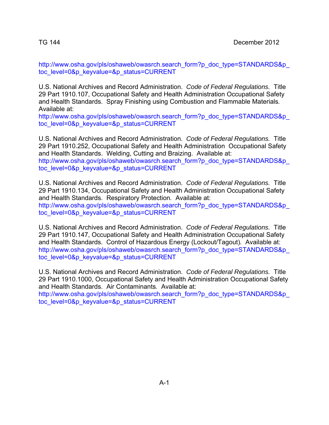http://www.osha.gov/pls/oshaweb/owasrch.search\_form?p\_doc\_type=STANDARDS&p toc\_level=0&p\_keyvalue=&p\_status=CURRENT

U.S. National Archives and Record Administration. *Code of Federal Regulations.* Title 29 Part 1910.107, Occupational Safety and Health Administration Occupational Safety and Health Standards. Spray Finishing using Combustion and Flammable Materials*.*  Available at:

http://www.osha.gov/pls/oshaweb/owasrch.search\_form?p\_doc\_type=STANDARDS&p toc\_level=0&p\_keyvalue=&p\_status=CURRENT

U.S. National Archives and Record Administration. *Code of Federal Regulations.* Title 29 Part 1910.252, Occupational Safety and Health Administration Occupational Safety and Health Standards. Welding, Cutting and Braizing. Available at: http://www.osha.gov/pls/oshaweb/owasrch.search\_form?p\_doc\_type=STANDARDS&p toc\_level=0&p\_keyvalue=&p\_status=CURRENT

U.S. National Archives and Record Administration. *Code of Federal Regulations.* Title 29 Part 1910.134, Occupational Safety and Health Administration Occupational Safety and Health Standards. Respiratory Protection*.* Available at: http://www.osha.gov/pls/oshaweb/owasrch.search\_form?p\_doc\_type=STANDARDS&p toc\_level=0&p\_keyvalue=&p\_status=CURRENT

U.S. National Archives and Record Administration. *Code of Federal Regulations.* Title 29 Part 1910.147, Occupational Safety and Health Administration Occupational Safety and Health Standards. Control of Hazardous Energy (Lockout/Tagout)*.* Available at: http://www.osha.gov/pls/oshaweb/owasrch.search\_form?p\_doc\_type=STANDARDS&p toc\_level=0&p\_keyvalue=&p\_status=CURRENT

U.S. National Archives and Record Administration. *Code of Federal Regulations.* Title 29 Part 1910.1000, Occupational Safety and Health Administration Occupational Safety and Health Standards. Air Contaminants*.* Available at: http://www.osha.gov/pls/oshaweb/owasrch.search\_form?p\_doc\_type=STANDARDS&p\_

toc\_level=0&p\_keyvalue=&p\_status=CURRENT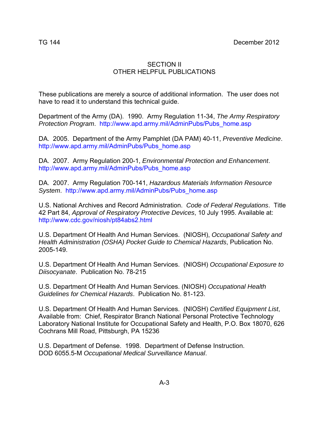### SECTION II OTHER HELPFUL PUBLICATIONS

These publications are merely a source of additional information. The user does not have to read it to understand this technical guide.

Department of the Army (DA). 1990. Army Regulation 11-34, *The Army Respiratory Protection Program*. http://www.apd.army.mil/AdminPubs/Pubs\_home.asp

DA. 2005. Department of the Army Pamphlet (DA PAM) 40-11, *Preventive Medicine*. http://www.apd.army.mil/AdminPubs/Pubs\_home.asp

DA. 2007. Army Regulation 200-1, *Environmental Protection and Enhancement*. http://www.apd.army.mil/AdminPubs/Pubs\_home.asp

DA. 2007. Army Regulation 700-141, *Hazardous Materials Information Resource System*. http://www.apd.army.mil/AdminPubs/Pubs\_home.asp

U.S. National Archives and Record Administration. *Code of Federal Regulations*. Title 42 Part 84, *Approval of Respiratory Protective Devices*, 10 July 1995. Available at: http://www.cdc.gov/niosh/pt84abs2.html

U.S. Department Of Health And Human Services. (NIOSH), *Occupational Safety and Health Administration (OSHA) Pocket Guide to Chemical Hazards*, Publication No. 2005-149.

U.S. Department Of Health And Human Services. (NIOSH) *Occupational Exposure to Diisocyanate*. Publication No. 78-215

U.S. Department Of Health And Human Services. (NIOSH) *Occupational Health Guidelines for Chemical Hazards*. Publication No. 81-123.

U.S. Department Of Health And Human Services. (NIOSH) *Certified Equipment List*, Available from: Chief, Respirator Branch National Personal Protective Technology Laboratory National Institute for Occupational Safety and Health, P.O. Box 18070, 626 Cochrans Mill Road, Pittsburgh, PA 15236

U.S. Department of Defense. 1998. Department of Defense Instruction. DOD 6055.5-M *Occupational Medical Surveillance Manual*.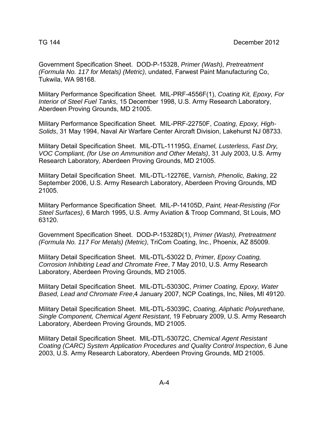Government Specification Sheet. DOD-P-15328, *Primer (Wash), Pretreatment (Formula No. 117 for Metals) (Metric)*, undated, Farwest Paint Manufacturing Co, Tukwila, WA 98168.

Military Performance Specification Sheet. MIL-PRF-4556F(1), *Coating Kit, Epoxy, For Interior of Steel Fuel Tanks*, 15 December 1998, U.S. Army Research Laboratory, Aberdeen Proving Grounds, MD 21005.

Military Performance Specification Sheet. MIL-PRF-22750F, *Coating, Epoxy, High-Solids*, 31 May 1994, Naval Air Warfare Center Aircraft Division, Lakehurst NJ 08733.

Military Detail Specification Sheet. MIL-DTL-11195G, *Enamel, Lusterless, Fast Dry, VOC Compliant, (for Use on Ammunition and Other Metals)*, 31 July 2003, U.S. Army Research Laboratory, Aberdeen Proving Grounds, MD 21005.

Military Detail Specification Sheet. MIL-DTL-12276E, *Varnish, Phenolic, Baking*, 22 September 2006, U.S. Army Research Laboratory, Aberdeen Proving Grounds, MD 21005.

Military Performance Specification Sheet. MIL-P-14105D, *Paint, Heat-Resisting (For Steel Surfaces)*, 6 March 1995, U.S. Army Aviation & Troop Command, St Louis, MO 63120.

Government Specification Sheet. DOD-P-15328D(1), *Primer (Wash), Pretreatment (Formula No. 117 For Metals) (Metric)*, TriCom Coating, Inc., Phoenix, AZ 85009.

Military Detail Specification Sheet. MIL-DTL-53022 D, *Primer, Epoxy Coating, Corrosion Inhibiting Lead and Chromate Free*, 7 May 2010, U.S. Army Research Laboratory, Aberdeen Proving Grounds, MD 21005.

Military Detail Specification Sheet. MIL-DTL-53030C, *Primer Coating, Epoxy, Water Based, Lead and Chromate Free*,4 January 2007, NCP Coatings, Inc, Niles, MI 49120.

Military Detail Specification Sheet. MIL-DTL-53039C, *Coating, Aliphatic Polyurethane, Single Component, Chemical Agent Resistant*, 19 February 2009, U.S. Army Research Laboratory, Aberdeen Proving Grounds, MD 21005.

Military Detail Specification Sheet. MIL-DTL-53072C, *Chemical Agent Resistant Coating (CARC) System Application Procedures and Quality Control Inspection*, 6 June 2003, U.S. Army Research Laboratory, Aberdeen Proving Grounds, MD 21005.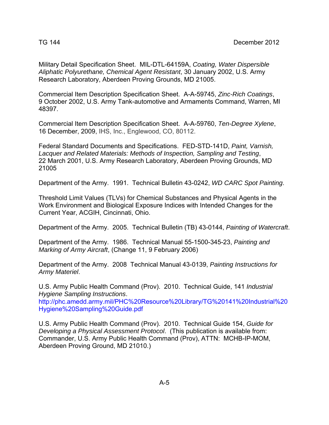Military Detail Specification Sheet. MIL-DTL-64159A, *Coating, Water Dispersible Aliphatic Polyurethane, Chemical Agent Resistant*, 30 January 2002, U.S. Army Research Laboratory, Aberdeen Proving Grounds, MD 21005.

Commercial Item Description Specification Sheet.A-A-59745, *Zinc-Rich Coatings*, 9 October 2002, U.S. Army Tank-automotive and Armaments Command, Warren, MI 48397.

Commercial Item Description Specification Sheet.A-A-59760, *Ten-Degree Xylene*, 16 December, 2009, IHS, Inc., Englewood, CO, 80112.

Federal Standard Documents and Specifications. FED-STD-141D, *Paint, Varnish, Lacquer and Related Materials: Methods of Inspection, Sampling and Testing*, 22 March 2001, U.S. Army Research Laboratory, Aberdeen Proving Grounds, MD 21005

Department of the Army. 1991. Technical Bulletin 43-0242, *WD CARC Spot Painting*.

Threshold Limit Values (TLVs) for Chemical Substances and Physical Agents in the Work Environment and Biological Exposure Indices with Intended Changes for the Current Year, ACGIH, Cincinnati, Ohio.

Department of the Army. 2005. Technical Bulletin (TB) 43-0144, *Painting of Watercraft*.

Department of the Army. 1986. Technical Manual 55-1500-345-23, *Painting and Marking of Army Aircraft*, (Change 11, 9 February 2006)

Department of the Army. 2008 Technical Manual 43-0139, *Painting Instructions for Army Materiel*.

U.S. Army Public Health Command (Prov). 2010. Technical Guide, 141 *Industrial Hygiene Sampling Instructions*.

http://phc.amedd.army.mil/PHC%20Resource%20Library/TG%20141%20Industrial%20 Hygiene%20Sampling%20Guide.pdf

U.S. Army Public Health Command (Prov). 2010. Technical Guide 154, *Guide for Developing a Physical Assessment Protocol*. (This publication is available from: Commander, U.S. Army Public Health Command (Prov), ATTN: MCHB-IP-MOM, Aberdeen Proving Ground, MD 21010.)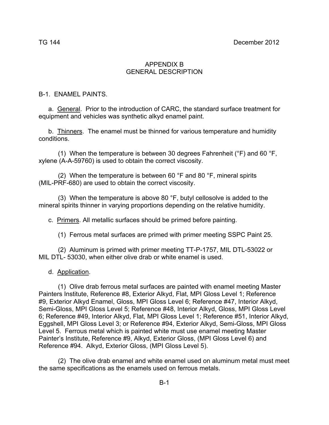### APPENDIX B GENERAL DESCRIPTION

#### B-1. ENAMEL PAINTS.

 a. General. Prior to the introduction of CARC, the standard surface treatment for equipment and vehicles was synthetic alkyd enamel paint.

 b. Thinners. The enamel must be thinned for various temperature and humidity conditions.

(1) When the temperature is between 30 degrees Fahrenheit ( $\degree$ F) and 60  $\degree$ F, xylene (A-A-59760) is used to obtain the correct viscosity.

(2) When the temperature is between 60  $\degree$ F and 80  $\degree$ F, mineral spirits (MIL-PRF-680) are used to obtain the correct viscosity.

 (3) When the temperature is above 80 °F, butyl cellosolve is added to the mineral spirits thinner in varying proportions depending on the relative humidity.

c. Primers. All metallic surfaces should be primed before painting.

(1) Ferrous metal surfaces are primed with primer meeting SSPC Paint 25.

 (2) Aluminum is primed with primer meeting TT-P-1757, MIL DTL-53022 or MIL DTL- 53030, when either olive drab or white enamel is used.

#### d. Application.

 (1) Olive drab ferrous metal surfaces are painted with enamel meeting Master Painters Institute, Reference #8, Exterior Alkyd, Flat, MPI Gloss Level 1; Reference #9, Exterior Alkyd Enamel, Gloss, MPI Gloss Level 6; Reference #47, Interior Alkyd, Semi-Gloss, MPI Gloss Level 5; Reference #48, Interior Alkyd, Gloss, MPI Gloss Level 6; Reference #49, Interior Alkyd, Flat, MPI Gloss Level 1; Reference #51, Interior Alkyd, Eggshell, MPI Gloss Level 3; or Reference #94, Exterior Alkyd, Semi-Gloss, MPI Gloss Level 5. Ferrous metal which is painted white must use enamel meeting Master Painter's Institute, Reference #9, Alkyd, Exterior Gloss, (MPI Gloss Level 6) and Reference #94. Alkyd, Exterior Gloss, (MPI Gloss Level 5).

 (2) The olive drab enamel and white enamel used on aluminum metal must meet the same specifications as the enamels used on ferrous metals.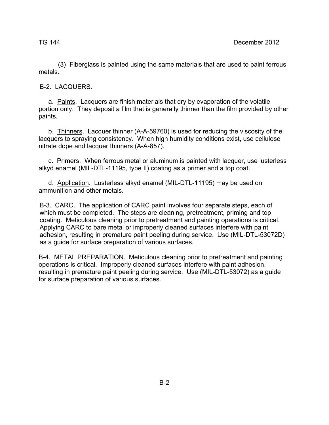(3) Fiberglass is painted using the same materials that are used to paint ferrous metals.

B-2. LACQUERS.

 a. Paints. Lacquers are finish materials that dry by evaporation of the volatile portion only. They deposit a film that is generally thinner than the film provided by other paints.

 b. Thinners. Lacquer thinner (A-A-59760) is used for reducing the viscosity of the lacquers to spraying consistency. When high humidity conditions exist, use cellulose nitrate dope and lacquer thinners (A-A-857).

 c. Primers. When ferrous metal or aluminum is painted with lacquer, use lusterless alkyd enamel (MIL-DTL-11195, type II) coating as a primer and a top coat.

 d. Application. Lusterless alkyd enamel (MIL-DTL-11195) may be used on ammunition and other metals.

B-3. CARC. The application of CARC paint involves four separate steps, each of which must be completed. The steps are cleaning, pretreatment, priming and top coating. Meticulous cleaning prior to pretreatment and painting operations is critical. Applying CARC to bare metal or improperly cleaned surfaces interfere with paint adhesion, resulting in premature paint peeling during service. Use (MIL-DTL-53072D) as a guide for surface preparation of various surfaces.

B-4. METAL PREPARATION. Meticulous cleaning prior to pretreatment and painting operations is critical. Improperly cleaned surfaces interfere with paint adhesion, resulting in premature paint peeling during service. Use (MIL-DTL-53072) as a guide for surface preparation of various surfaces.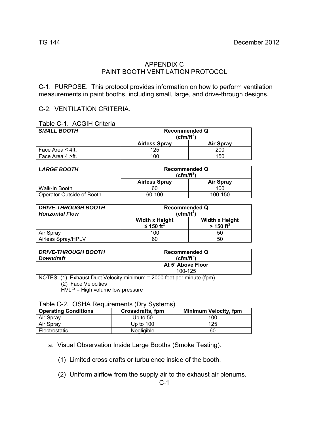### APPENDIX C PAINT BOOTH VENTILATION PROTOCOL

C-1. PURPOSE. This protocol provides information on how to perform ventilation measurements in paint booths, including small, large, and drive-through designs.

### C-2. VENTILATION CRITERIA.

| <b>SMALL BOOTH</b>     | <b>Recommended Q</b><br>$(cfm/ft^2)$ |                  |
|------------------------|--------------------------------------|------------------|
|                        | <b>Airless Spray</b>                 | <b>Air Spray</b> |
| Face Area $\leq 4$ ft. | 125                                  | 200              |
| Face Area 4 >ft.       | 100                                  | 150              |

| <b>LARGE BOOTH</b>        | <b>Recommended Q</b><br>(cfm/ft $^2$ ) |                  |
|---------------------------|----------------------------------------|------------------|
|                           | <b>Airless Spray</b>                   | <b>Air Spray</b> |
| Walk-In Booth             | 60                                     | 100              |
| Operator Outside of Booth | 60-100                                 | 100-150          |

| <b>DRIVE-THROUGH BOOTH</b><br><b>Horizontal Flow</b> | <b>Recommended Q</b><br>$(cfm/ft^2)$           |                                                  |
|------------------------------------------------------|------------------------------------------------|--------------------------------------------------|
|                                                      | <b>Width x Height</b><br>≤ 150 ft <sup>2</sup> | <b>Width x Height</b><br>$>$ 150 ft <sup>2</sup> |
| Air Spray                                            | 100                                            | 50                                               |
| <b>Airless Spray/HPLV</b>                            | 60                                             | 50                                               |

| <b>DRIVE-THROUGH BOOTH</b><br><b>Downdraft</b> | <b>Recommended Q</b><br>(cfm/ft $^2$ ) |
|------------------------------------------------|----------------------------------------|
|                                                | At 5' Above Floor                      |
|                                                | 100-125                                |

NOTES: (1) Exhaust Duct Velocity minimum = 2000 feet per minute (fpm)

(2) Face Velocities

 $HVLP = High volume low pressure$ 

| Table C-2. OSHA Requirements (Dry Systems) |
|--------------------------------------------|
|--------------------------------------------|

| $1$ ablo $\cup$ $\sqsubseteq$ . $\cup$ $\cup$ iii $\cup$ iiivalii oniiviito $\cup$ iiii $\cup$ ivotoniio<br><b>Operating Conditions</b> | <b>Crossdrafts, fpm</b> | <b>Minimum Velocity, fpm</b> |
|-----------------------------------------------------------------------------------------------------------------------------------------|-------------------------|------------------------------|
| Air Spray                                                                                                                               | Up to $50$              | 100                          |
| Air Spray                                                                                                                               | Up to 100               | 125                          |
| Electrostatic                                                                                                                           | Negligible              | 60                           |

a. Visual Observation Inside Large Booths (Smoke Testing).

(1) Limited cross drafts or turbulence inside of the booth.

(2) Uniform airflow from the supply air to the exhaust air plenums.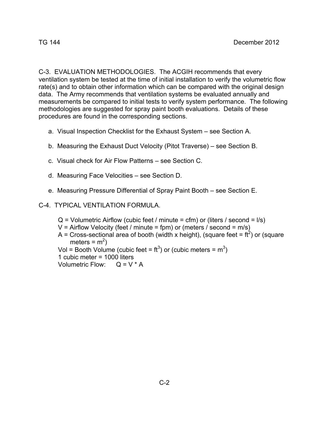C-3. EVALUATION METHODOLOGIES. The ACGIH recommends that every ventilation system be tested at the time of initial installation to verify the volumetric flow rate(s) and to obtain other information which can be compared with the original design data. The Army recommends that ventilation systems be evaluated annually and measurements be compared to initial tests to verify system performance. The following methodologies are suggested for spray paint booth evaluations. Details of these procedures are found in the corresponding sections.

- a. Visual Inspection Checklist for the Exhaust System see Section A.
- b. Measuring the Exhaust Duct Velocity (Pitot Traverse) see Section B.
- c. Visual check for Air Flow Patterns see Section C.
- d. Measuring Face Velocities see Section D.
- e. Measuring Pressure Differential of Spray Paint Booth see Section E.
- C-4. TYPICAL VENTILATION FORMULA.
	- $Q =$  Volumetric Airflow (cubic feet / minute = cfm) or (liters / second =  $I/s$ )
	- $V =$  Airflow Velocity (feet / minute = fpm) or (meters / second = m/s)
	- A = Cross-sectional area of booth (width x height), (square feet =  $\text{ft}^2$ ) or (square meters =  $m^2$ )
- Vol = Booth Volume (cubic feet =  $\text{ft}^3$ ) or (cubic meters =  $\text{m}^3$ )

1 cubic meter = 1000 liters

Volumetric Flow:  $Q = V * A$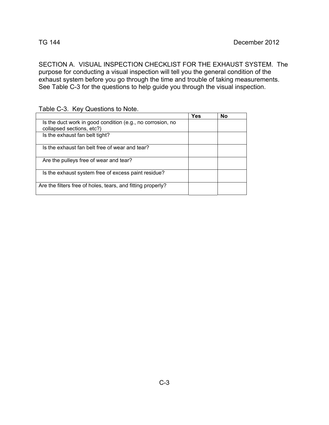SECTION A. VISUAL INSPECTION CHECKLIST FOR THE EXHAUST SYSTEM. The purpose for conducting a visual inspection will tell you the general condition of the exhaust system before you go through the time and trouble of taking measurements. See Table C-3 for the questions to help guide you through the visual inspection.

Table C-3. Key Questions to Note.

|                                                             | <b>Yes</b> | No |  |
|-------------------------------------------------------------|------------|----|--|
| Is the duct work in good condition (e.g., no corrosion, no  |            |    |  |
| collapsed sections, etc?)                                   |            |    |  |
| Is the exhaust fan belt tight?                              |            |    |  |
|                                                             |            |    |  |
| Is the exhaust fan belt free of wear and tear?              |            |    |  |
|                                                             |            |    |  |
| Are the pulleys free of wear and tear?                      |            |    |  |
|                                                             |            |    |  |
| Is the exhaust system free of excess paint residue?         |            |    |  |
|                                                             |            |    |  |
| Are the filters free of holes, tears, and fitting properly? |            |    |  |
|                                                             |            |    |  |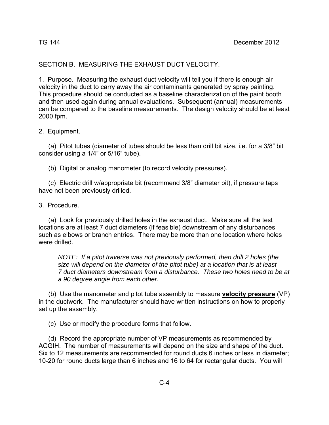### SECTION B. MEASURING THE EXHAUST DUCT VELOCITY.

1. Purpose. Measuring the exhaust duct velocity will tell you if there is enough air velocity in the duct to carry away the air contaminants generated by spray painting. This procedure should be conducted as a baseline characterization of the paint booth and then used again during annual evaluations. Subsequent (annual) measurements can be compared to the baseline measurements. The design velocity should be at least 2000 fpm.

#### 2. Equipment.

 (a) Pitot tubes (diameter of tubes should be less than drill bit size, i.e. for a 3/8" bit consider using a 1/4" or 5/16" tube).

(b) Digital or analog manometer (to record velocity pressures).

 (c) Electric drill w/appropriate bit (recommend 3/8" diameter bit), if pressure taps have not been previously drilled.

3. Procedure.

 (a) Look for previously drilled holes in the exhaust duct. Make sure all the test locations are at least 7 duct diameters (if feasible) downstream of any disturbances such as elbows or branch entries. There may be more than one location where holes were drilled.

*NOTE: If a pitot traverse was not previously performed, then drill 2 holes (the size will depend on the diameter of the pitot tube) at a location that is at least 7 duct diameters downstream from a disturbance. These two holes need to be at a 90 degree angle from each other.* 

 (b) Use the manometer and pitot tube assembly to measure **velocity pressure** (VP) in the ductwork. The manufacturer should have written instructions on how to properly set up the assembly.

(c) Use or modify the procedure forms that follow.

 (d) Record the appropriate number of VP measurements as recommended by ACGIH. The number of measurements will depend on the size and shape of the duct. Six to 12 measurements are recommended for round ducts 6 inches or less in diameter; 10-20 for round ducts large than 6 inches and 16 to 64 for rectangular ducts. You will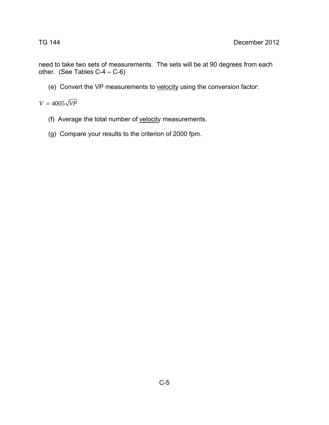need to take two sets of measurements. The sets will be at 90 degrees from each other. (See Tables C-4 – C-6)

(e) Convert the VP measurements to velocity using the conversion factor:

 $V = 4005 \sqrt{VP}$ 

- (f) Average the total number of velocity measurements.
- (g) Compare your results to the criterion of 2000 fpm.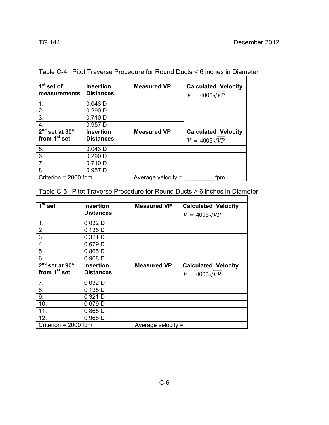$\overline{1}$ 

| $\overline{1}$ <sup>st</sup> set of | <b>Insertion</b> | <b>Measured VP</b>   | <b>Calculated Velocity</b> |
|-------------------------------------|------------------|----------------------|----------------------------|
| measurements                        | <b>Distances</b> |                      | $V = 4005\sqrt{VP}$        |
| 1.                                  | 0.043D           |                      |                            |
| $\overline{2}$                      | $0.290$ D        |                      |                            |
| 3.                                  | $0.710$ D        |                      |                            |
| 4.                                  | 0.957D           |                      |                            |
| $2nd$ set at 90 $o$                 | <b>Insertion</b> | <b>Measured VP</b>   | <b>Calculated Velocity</b> |
| from 1 <sup>st</sup> set            | <b>Distances</b> |                      | $V = 4005\sqrt{VP}$        |
| 5.                                  | $0.043$ D        |                      |                            |
| 6.                                  | $0.290$ D        |                      |                            |
| 7.                                  | $0.710$ D        |                      |                            |
| 8.                                  | 0.957D           |                      |                            |
| Criterion = $2000$ fpm              |                  | Average velocity $=$ | fpm                        |

Table C-4. Pitot Traverse Procedure for Round Ducts < 6 inches in Diameter

Table C-5. Pitot Traverse Procedure for Round Ducts > 6 inches in Diameter

| $1st$ set                | <b>Insertion</b> | <b>Measured VP</b>   | <b>Calculated Velocity</b> |
|--------------------------|------------------|----------------------|----------------------------|
|                          | <b>Distances</b> |                      | $V = 4005\sqrt{VP}$        |
| 1.                       | 0.032D           |                      |                            |
| $\overline{2}$           | 0.135 D          |                      |                            |
| 3.                       | $0.321$ D        |                      |                            |
| 4.                       | $0.679$ D        |                      |                            |
| 5.                       | $0.865$ D        |                      |                            |
| 6.                       | $0.968$ D        |                      |                            |
| $2nd$ set at 90 $o$      | Insertion        | <b>Measured VP</b>   | <b>Calculated Velocity</b> |
| from 1 <sup>st</sup> set | <b>Distances</b> |                      | $V = 4005\sqrt{VP}$        |
| 7.                       | $0.032$ D        |                      |                            |
| 8.                       | 0.135D           |                      |                            |
| 9.                       | $0.321$ D        |                      |                            |
| 10.                      | $0.679$ D        |                      |                            |
| 11.                      | $0.865$ D        |                      |                            |
| 12.                      | $0.968$ D        |                      |                            |
| Criterion = $2000$ fpm   |                  | Average velocity $=$ |                            |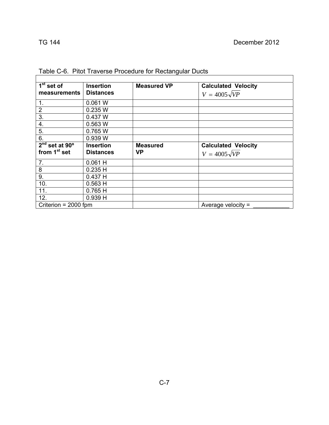| 1 <sup>st</sup> set of     | <b>Insertion</b> | <b>Measured VP</b> | <b>Calculated Velocity</b> |
|----------------------------|------------------|--------------------|----------------------------|
| measurements               | <b>Distances</b> |                    | $V = 4005\sqrt{VP}$        |
| 1.                         | 0.061 W          |                    |                            |
| $\overline{2}$             | 0.235 W          |                    |                            |
| 3.                         | 0.437 W          |                    |                            |
| 4.                         | 0.563 W          |                    |                            |
| 5.                         | 0.765 W          |                    |                            |
| 6.                         | 0.939 W          |                    |                            |
| $2nd$ set at 90 $^{\circ}$ | <b>Insertion</b> | <b>Measured</b>    | <b>Calculated Velocity</b> |
| from 1 <sup>st</sup> set   | <b>Distances</b> | <b>VP</b>          | $V = 4005\sqrt{VP}$        |
| 7.                         | $0.061$ H        |                    |                            |
| 8                          | 0.235H           |                    |                            |
| 9.                         | 0.437H           |                    |                            |
| 10.                        | 0.563H           |                    |                            |
| 11.                        | 0.765H           |                    |                            |
| 12.                        | 0.939H           |                    |                            |
| Criterion = $2000$ fpm     |                  |                    | Average velocity $=$       |

Table C-6. Pitot Traverse Procedure for Rectangular Ducts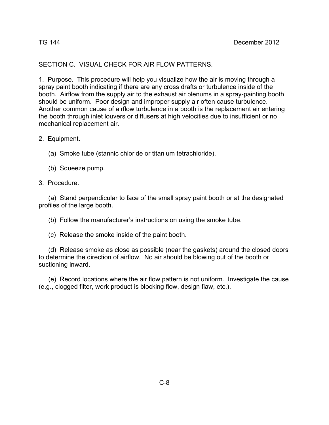## SECTION C. VISUAL CHECK FOR AIR FLOW PATTERNS.

1. Purpose. This procedure will help you visualize how the air is moving through a spray paint booth indicating if there are any cross drafts or turbulence inside of the booth. Airflow from the supply air to the exhaust air plenums in a spray-painting booth should be uniform. Poor design and improper supply air often cause turbulence. Another common cause of airflow turbulence in a booth is the replacement air entering the booth through inlet louvers or diffusers at high velocities due to insufficient or no mechanical replacement air.

2. Equipment.

(a) Smoke tube (stannic chloride or titanium tetrachloride).

(b) Squeeze pump.

3. Procedure.

 (a) Stand perpendicular to face of the small spray paint booth or at the designated profiles of the large booth.

(b) Follow the manufacturer's instructions on using the smoke tube.

(c) Release the smoke inside of the paint booth.

 (d) Release smoke as close as possible (near the gaskets) around the closed doors to determine the direction of airflow. No air should be blowing out of the booth or suctioning inward.

 (e) Record locations where the air flow pattern is not uniform. Investigate the cause (e.g., clogged filter, work product is blocking flow, design flaw, etc.).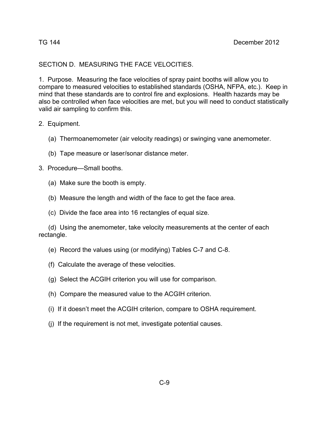### SECTION D. MEASURING THE FACE VELOCITIES.

1. Purpose. Measuring the face velocities of spray paint booths will allow you to compare to measured velocities to established standards (OSHA, NFPA, etc.). Keep in mind that these standards are to control fire and explosions. Health hazards may be also be controlled when face velocities are met, but you will need to conduct statistically valid air sampling to confirm this.

### 2. Equipment.

- (a) Thermoanemometer (air velocity readings) or swinging vane anemometer.
- (b) Tape measure or laser/sonar distance meter.
- 3. Procedure—Small booths.
	- (a) Make sure the booth is empty.
	- (b) Measure the length and width of the face to get the face area.
	- (c)Divide the face area into 16 rectangles of equal size.

 (d) Using the anemometer, take velocity measurements at the center of each rectangle.

- (e) Record the values using (or modifying) Tables C-7 and C-8.
- (f) Calculate the average of these velocities.
- (g) Select the ACGIH criterion you will use for comparison.
- (h) Compare the measured value to the ACGIH criterion.
- (i) If it doesn't meet the ACGIH criterion, compare to OSHA requirement.
- (j) If the requirement is not met, investigate potential causes.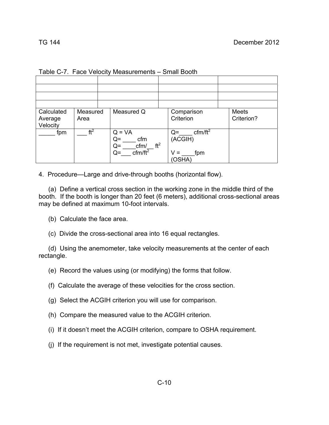| Calculated<br>Average<br>Velocity | Measured<br>Area |  | Measured Q                                                                                           | Comparison<br>Criterion                                          |  |  |
|-----------------------------------|------------------|--|------------------------------------------------------------------------------------------------------|------------------------------------------------------------------|--|--|
| fpm                               | ft <sup>2</sup>  |  | $Q = VA$<br>cfm<br>$Q =$<br>ft <sup>2</sup><br>$Q =$<br>cfm/<br>$\overline{\text{cfm/ft}^2}$<br>$Q=$ | cfm/ft <sup>2</sup><br>$Q=$<br>(ACGIH)<br>$V =$<br>fpm<br>(OSHA) |  |  |

| Table C-7. Face Velocity Measurements - Small Booth |  |  |  |  |
|-----------------------------------------------------|--|--|--|--|
|-----------------------------------------------------|--|--|--|--|

4. Procedure—Large and drive-through booths (horizontal flow).

 (a) Define a vertical cross section in the working zone in the middle third of the booth. If the booth is longer than 20 feet (6 meters), additional cross-sectional areas may be defined at maximum 10-foot intervals.

(b) Calculate the face area.

(c) Divide the cross-sectional area into 16 equal rectangles.

 (d) Using the anemometer, take velocity measurements at the center of each rectangle.

(e) Record the values using (or modifying) the forms that follow.

(f) Calculate the average of these velocities for the cross section.

(g) Select the ACGIH criterion you will use for comparison.

- (h) Compare the measured value to the ACGIH criterion.
- (i) If it doesn't meet the ACGIH criterion, compare to OSHA requirement.
- (j) If the requirement is not met, investigate potential causes.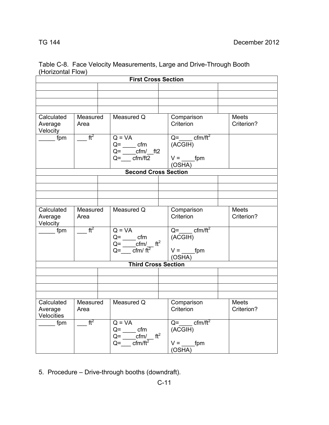| <b>First Cross Section</b>          |                        |  |                                                                                                                                                                     |  |                                                             |                                                           |                            |  |
|-------------------------------------|------------------------|--|---------------------------------------------------------------------------------------------------------------------------------------------------------------------|--|-------------------------------------------------------------|-----------------------------------------------------------|----------------------------|--|
|                                     |                        |  |                                                                                                                                                                     |  |                                                             |                                                           |                            |  |
|                                     |                        |  |                                                                                                                                                                     |  |                                                             |                                                           |                            |  |
|                                     |                        |  |                                                                                                                                                                     |  |                                                             |                                                           |                            |  |
|                                     |                        |  |                                                                                                                                                                     |  |                                                             |                                                           |                            |  |
| Calculated<br>Average<br>Velocity   | Measured<br>Area       |  | Measured Q                                                                                                                                                          |  | Comparison<br>Criterion                                     |                                                           | Meets<br>Criterion?        |  |
| fpm                                 | $\sqrt{t^2}$           |  | $Q = VA$<br>$Q =$ _______ cfm<br>$Q = \frac{cm}{m}$ ft2<br>$Q=$ cfm/ft2                                                                                             |  | $Q =$ cfm/ft <sup>2</sup><br>(ACGIH)<br>$V =$ fpm<br>(OSHA) |                                                           |                            |  |
|                                     |                        |  | <b>Second Cross Section</b>                                                                                                                                         |  |                                                             |                                                           |                            |  |
|                                     |                        |  |                                                                                                                                                                     |  |                                                             |                                                           |                            |  |
|                                     |                        |  |                                                                                                                                                                     |  |                                                             |                                                           |                            |  |
|                                     |                        |  |                                                                                                                                                                     |  |                                                             |                                                           |                            |  |
|                                     |                        |  |                                                                                                                                                                     |  |                                                             |                                                           |                            |  |
| Calculated<br>Average<br>Velocity   | Measured<br>Area       |  | Measured Q                                                                                                                                                          |  | Comparison<br>Criterion                                     |                                                           | Meets<br>Criterion?        |  |
| $\_$ fpm                            | $ft^2$                 |  | $Q = VA$<br>$Q = \underline{\hspace{2cm}}$ cfm<br>$Q = \underline{\text{cfm}} / \underline{\text{ft}^2}$<br>$Q = \frac{C}{\pi}$ cfm/ ft <sup>2</sup>                |  | $Q = \text{cfm/ft}^2$<br>(ACGIH)<br>$V =$ fpm<br>(OSHA)     |                                                           |                            |  |
| <b>Third Cross Section</b>          |                        |  |                                                                                                                                                                     |  |                                                             |                                                           |                            |  |
|                                     |                        |  |                                                                                                                                                                     |  |                                                             |                                                           |                            |  |
|                                     |                        |  |                                                                                                                                                                     |  |                                                             |                                                           |                            |  |
|                                     |                        |  |                                                                                                                                                                     |  |                                                             |                                                           |                            |  |
|                                     |                        |  |                                                                                                                                                                     |  |                                                             |                                                           |                            |  |
| Calculated<br>Average<br>Velocities | Measured<br>Area       |  | Measured Q                                                                                                                                                          |  | Comparison<br>Criterion                                     |                                                           | <b>Meets</b><br>Criterion? |  |
| $\overline{\phantom{a}}$ fpm        | $=$ $\overline{t^{2}}$ |  | $Q = VA$<br>$Q =$ _______ cfm<br>$Q = \underline{\hspace{1cm}} \text{cfm} / \underline{\hspace{1cm}} \text{ft}^2$<br>$Q = \frac{C}{\text{cm}}$ $\sqrt{\text{ft}^2}$ |  |                                                             | $Q = \frac{c f m}{t^2}$<br>(ACGIH)<br>$V =$ fpm<br>(OSHA) |                            |  |

Table C-8. Face Velocity Measurements, Large and Drive-Through Booth (Horizontal Flow)

5. Procedure – Drive-through booths (downdraft).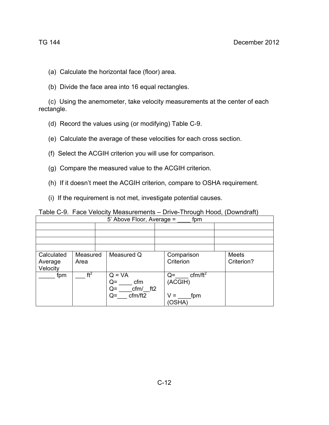- (a) Calculate the horizontal face (floor) area.
- (b) Divide the face area into 16 equal rectangles.

 (c) Using the anemometer, take velocity measurements at the center of each rectangle.

- (d) Record the values using (or modifying) Table C-9.
- (e) Calculate the average of these velocities for each cross section.
- (f) Select the ACGIH criterion you will use for comparison.
- (g) Compare the measured value to the ACGIH criterion.
- (h) If it doesn't meet the ACGIH criterion, compare to OSHA requirement.
- (i) If the requirement is not met, investigate potential causes.

| Table C-9. Face Velocity Measurements - Drive-Through Hood, (Downdraft) |
|-------------------------------------------------------------------------|
|-------------------------------------------------------------------------|

| fpm<br>5' Above Floor, Average =  |                  |            |                                                                  |  |                                                                |  |                            |  |  |
|-----------------------------------|------------------|------------|------------------------------------------------------------------|--|----------------------------------------------------------------|--|----------------------------|--|--|
|                                   |                  |            |                                                                  |  |                                                                |  |                            |  |  |
|                                   |                  |            |                                                                  |  |                                                                |  |                            |  |  |
|                                   |                  |            |                                                                  |  |                                                                |  |                            |  |  |
|                                   |                  |            |                                                                  |  |                                                                |  |                            |  |  |
| Calculated<br>Average<br>Velocity | Measured<br>Area | Measured Q |                                                                  |  | Comparison<br>Criterion                                        |  | <b>Meets</b><br>Criterion? |  |  |
| fpm                               | $ft^2$           |            | $Q = VA$<br>cfm<br>$Q =$<br>cfm/ ft2<br>$Q=$<br>cfm/ft2<br>$Q =$ |  | cfm/ft <sup>2</sup><br>$Q=$<br>(ACGIH)<br>v =<br>fpm<br>(OSHA) |  |                            |  |  |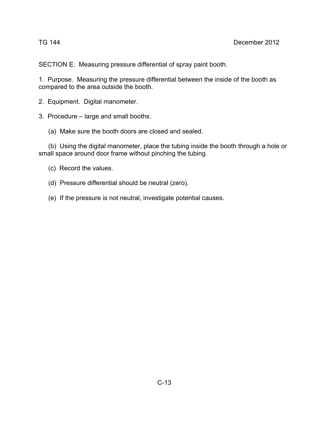SECTION E. Measuring pressure differential of spray paint booth.

1. Purpose. Measuring the pressure differential between the inside of the booth as compared to the area outside the booth.

2. Equipment. Digital manometer.

3. Procedure – large and small booths.

(a) Make sure the booth doors are closed and sealed.

 (b) Using the digital manometer, place the tubing inside the booth through a hole or small space around door frame without pinching the tubing.

(c) Record the values.

(d) Pressure differential should be neutral (zero).

(e) If the pressure is not neutral, investigate potential causes.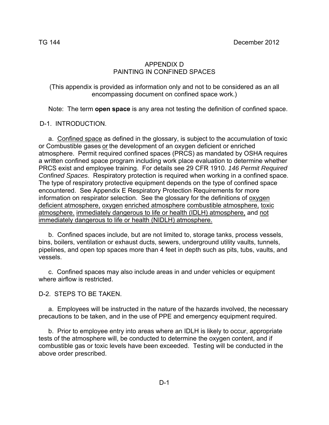### APPENDIX D PAINTING IN CONFINED SPACES

(This appendix is provided as information only and not to be considered as an all encompassing document on confined space work.)

Note: The term **open space** is any area not testing the definition of confined space.

### D-1. INTRODUCTION.

 a. Confined space as defined in the glossary, is subject to the accumulation of toxic or Combustible gases or the development of an oxygen deficient or enriched atmosphere. Permit required confined spaces (PRCS) as mandated by OSHA requires a written confined space program including work place evaluation to determine whether PRCS exist and employee training. For details see 29 CFR 1910. *146 Permit Required Confined Spaces*. Respiratory protection is required when working in a confined space. The type of respiratory protective equipment depends on the type of confined space encountered. See Appendix E Respiratory Protection Requirements for more information on respirator selection. See the glossary for the definitions of oxygen deficient atmosphere, oxygen enriched atmosphere combustible atmosphere, toxic atmosphere. immediately dangerous to life or health (IDLH) atmosphere, and not immediately dangerous to life or health (NIDLH) atmosphere.

 b. Confined spaces include, but are not limited to, storage tanks, process vessels, bins, boilers, ventilation or exhaust ducts, sewers, underground utility vaults, tunnels, pipelines, and open top spaces more than 4 feet in depth such as pits, tubs, vaults, and vessels.

 c. Confined spaces may also include areas in and under vehicles or equipment where airflow is restricted.

D-2. STEPS TO BE TAKEN.

 a. Employees will be instructed in the nature of the hazards involved, the necessary precautions to be taken, and in the use of PPE and emergency equipment required.

 b. Prior to employee entry into areas where an IDLH is likely to occur, appropriate tests of the atmosphere will, be conducted to determine the oxygen content, and if combustible gas or toxic levels have been exceeded. Testing will be conducted in the above order prescribed.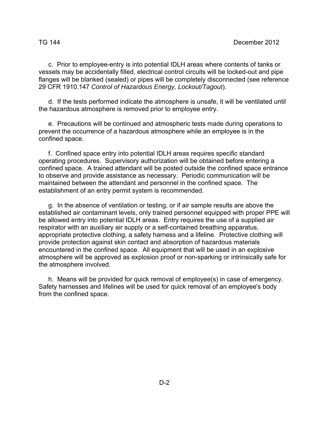c. Prior to employee-entry is into potential IDLH areas where contents of tanks or vessels may be accidentally filled, electrical control circuits will be locked-out and pipe flanges will be blanked (sealed) or pipes will be completely disconnected (see reference 29 CFR 1910.147 *Control of Hazardous Energy, Lockout/Tagout*).

 d. If the tests performed indicate the atmosphere is unsafe, it will be ventilated until the hazardous atmosphere is removed prior to employee entry.

 e. Precautions will be continued and atmospheric tests made during operations to prevent the occurrence of a hazardous atmosphere while an employee is in the confined space.

 f. Confined space entry into potential IDLH areas requires specific standard operating procedures. Supervisory authorization will be obtained before entering a confined space. A trained attendant will be posted outside the confined space entrance to observe and provide assistance as necessary. Periodic communication will be maintained between the attendant and personnel in the confined space. The establishment of an entry permit system is recommended.

 g. In the absence of ventilation or testing, or if air sample results are above the established air contaminant levels, only trained personnel equipped with proper PPE will be allowed entry into potential IDLH areas. Entry requires the use of a supplied air respirator with an auxiliary air supply or a self-contained breathing apparatus, appropriate protective clothing, a safety harness and a lifeline. Protective clothing will provide protection against skin contact and absorption of hazardous materials encountered in the confined space. All equipment that will be used in an explosive atmosphere will be approved as explosion proof or non-sparking or intrinsically safe for the atmosphere involved.

 h. Means will be provided for quick removal of employee(s) in case of emergency. Safety harnesses and lifelines will be used for quick removal of an employee's body from the confined space.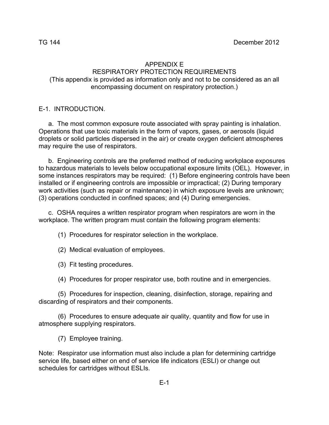#### APPENDIX E

# RESPIRATORY PROTECTION REQUIREMENTS

(This appendix is provided as information only and not to be considered as an all encompassing document on respiratory protection.)

### E-1. INTRODUCTION.

 a. The most common exposure route associated with spray painting is inhalation. Operations that use toxic materials in the form of vapors, gases, or aerosols (liquid droplets or solid particles dispersed in the air) or create oxygen deficient atmospheres may require the use of respirators.

 b. Engineering controls are the preferred method of reducing workplace exposures to hazardous materials to levels below occupational exposure limits (OEL). However, in some instances respirators may be required: (1) Before engineering controls have been installed or if engineering controls are impossible or impractical; (2) During temporary work activities (such as repair or maintenance) in which exposure levels are unknown; (3) operations conducted in confined spaces; and (4) During emergencies.

 c. OSHA requires a written respirator program when respirators are worn in the workplace. The written program must contain the following program elements:

(1) Procedures for respirator selection in the workplace.

(2) Medical evaluation of employees.

(3) Fit testing procedures.

(4) Procedures for proper respirator use, both routine and in emergencies.

 (5) Procedures for inspection, cleaning, disinfection, storage, repairing and discarding of respirators and their components.

 (6) Procedures to ensure adequate air quality, quantity and flow for use in atmosphere supplying respirators.

(7) Employee training.

Note: Respirator use information must also include a plan for determining cartridge service life, based either on end of service life indicators (ESLI) or change out schedules for cartridges without ESLIs.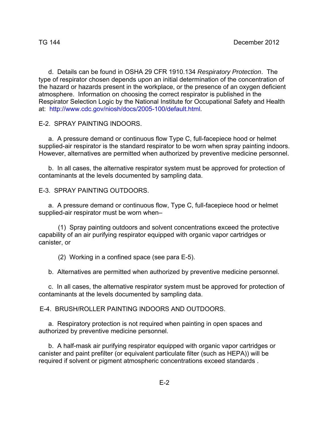d. Details can be found in OSHA 29 CFR 1910.134 *Respiratory Protection*. The type of respirator chosen depends upon an initial determination of the concentration of the hazard or hazards present in the workplace, or the presence of an oxygen deficient atmosphere. Information on choosing the correct respirator is published in the Respirator Selection Logic by the National Institute for Occupational Safety and Health at: http://www.cdc.gov/niosh/docs/2005-100/default.html.

E-2. SPRAY PAINTING INDOORS.

 a. A pressure demand or continuous flow Type C, full-facepiece hood or helmet supplied-air respirator is the standard respirator to be worn when spray painting indoors. However, alternatives are permitted when authorized by preventive medicine personnel.

 b. In all cases, the alternative respirator system must be approved for protection of contaminants at the levels documented by sampling data.

E-3. SPRAY PAINTING OUTDOORS.

 a. A pressure demand or continuous flow, Type C, full-facepiece hood or helmet supplied-air respirator must be worn when–

 (1) Spray painting outdoors and solvent concentrations exceed the protective capability of an air purifying respirator equipped with organic vapor cartridges or canister, or

(2) Working in a confined space (see para E-5).

b. Alternatives are permitted when authorized by preventive medicine personnel.

 c. In all cases, the alternative respirator system must be approved for protection of contaminants at the levels documented by sampling data.

E-4. BRUSH/ROLLER PAINTING INDOORS AND OUTDOORS.

 a. Respiratory protection is not required when painting in open spaces and authorized by preventive medicine personnel.

 b. A half-mask air purifying respirator equipped with organic vapor cartridges or canister and paint prefilter (or equivalent particulate filter (such as HEPA)) will be required if solvent or pigment atmospheric concentrations exceed standards .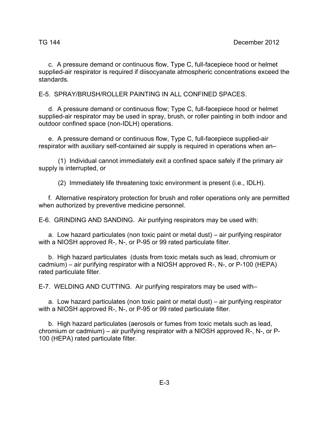c. A pressure demand or continuous flow, Type C, full-facepiece hood or helmet supplied-air respirator is required if diisocyanate atmospheric concentrations exceed the standards.

E-5. SPRAY/BRUSH/ROLLER PAINTING IN ALL CONFINED SPACES.

 d. A pressure demand or continuous flow; Type C, full-facepiece hood or helmet supplied-air respirator may be used in spray, brush, or roller painting in both indoor and outdoor confined space (non-IDLH) operations.

 e. A pressure demand or continuous flow, Type C, full-facepiece supplied-air respirator with auxiliary self-contained air supply is required in operations when an–

(1) Individual cannot immediately exit a confined space safely if the primary air supply is interrupted, or

(2) Immediately life threatening toxic environment is present (i.e., IDLH).

 f. Alternative respiratory protection for brush and roller operations only are permitted when authorized by preventive medicine personnel.

E-6. GRINDING AND SANDING. Air purifying respirators may be used with:

 a. Low hazard particulates (non toxic paint or metal dust) – air purifying respirator with a NIOSH approved R-, N-, or P-95 or 99 rated particulate filter.

 b. High hazard particulates (dusts from toxic metals such as lead, chromium or cadmium) – air purifying respirator with a NIOSH approved R-, N-, or P-100 (HEPA) rated particulate filter.

E-7. WELDING AND CUTTING. Air purifying respirators may be used with–

 a. Low hazard particulates (non toxic paint or metal dust) – air purifying respirator with a NIOSH approved R-, N-, or P-95 or 99 rated particulate filter.

 b. High hazard particulates (aerosols or fumes from toxic metals such as lead, chromium or cadmium) – air purifying respirator with a NIOSH approved R-, N-, or P-100 (HEPA) rated particulate filter.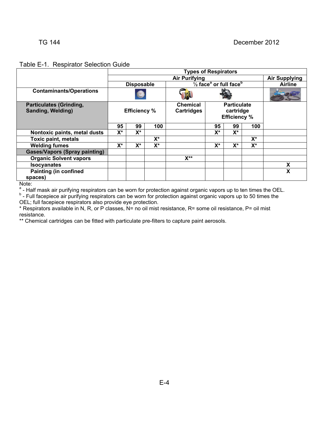#### Table E-1. Respirator Selection Guide

|                                                     | <b>Types of Respirators</b>                                                    |    |                |                                      |                                                        |       |                |                      |  |  |
|-----------------------------------------------------|--------------------------------------------------------------------------------|----|----------------|--------------------------------------|--------------------------------------------------------|-------|----------------|----------------------|--|--|
|                                                     |                                                                                |    |                | <b>Air Purifying</b>                 |                                                        |       |                | <b>Air Supplying</b> |  |  |
|                                                     | $\frac{1}{2}$ face <sup>ª</sup> or full face <sup>b</sup><br><b>Disposable</b> |    |                |                                      |                                                        |       | <b>Airline</b> |                      |  |  |
| <b>Contaminants/Operations</b>                      |                                                                                |    |                |                                      |                                                        |       |                |                      |  |  |
| <b>Particulates (Grinding,</b><br>Sanding, Welding) | <b>Efficiency %</b>                                                            |    |                | <b>Chemical</b><br><b>Cartridges</b> | <b>Particulate</b><br>cartridge<br><b>Efficiency %</b> |       |                |                      |  |  |
|                                                     | 95                                                                             | 99 | 100            |                                      | 95                                                     | 99    | 100            |                      |  |  |
| Nontoxic paints, metal dusts                        | $X^*$                                                                          | X* |                |                                      | $X^*$                                                  | X*    |                |                      |  |  |
| <b>Toxic paint, metals</b>                          |                                                                                |    | $X^*$          |                                      |                                                        |       | $X^*$          |                      |  |  |
| <b>Welding fumes</b>                                | $X^*$<br>$X^*$<br>X*                                                           |    |                | $X^*$                                | $X^*$                                                  | $X^*$ |                |                      |  |  |
| <b>Gases/Vapors (Spray painting)</b>                |                                                                                |    |                |                                      |                                                        |       |                |                      |  |  |
| <b>Organic Solvent vapors</b>                       |                                                                                |    | $X^{\ast\ast}$ |                                      |                                                        |       |                |                      |  |  |
| <b>Isocyanates</b>                                  |                                                                                |    |                |                                      |                                                        |       |                | X                    |  |  |
| <b>Painting (in confined</b>                        |                                                                                |    |                |                                      |                                                        |       |                | χ                    |  |  |
| spaces)<br>$N = 1 - 1$                              |                                                                                |    |                |                                      |                                                        |       |                |                      |  |  |

Note:<br><sup>a</sup> - Half mask air purifying respirators can be worn for protection against organic vapors up to ten times the OEL.<br><sup>b</sup> - Full facepiece air purifying respirators can be worn for protection against organic vapors up

OEL; full facepiece respirators also provide eye protection.

\* Respirators available in N, R, or P classes, N= no oil mist resistance, R= some oil resistance, P= oil mist resistance.

\*\* Chemical cartridges can be fitted with particulate pre-filters to capture paint aerosols.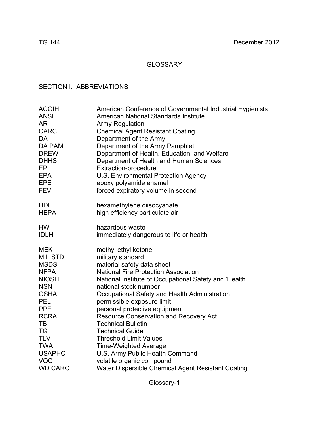# GLOSSARY

# SECTION I. ABBREVIATIONS

| <b>ACGIH</b>   | American Conference of Governmental Industrial Hygienists |
|----------------|-----------------------------------------------------------|
| <b>ANSI</b>    | American National Standards Institute                     |
| <b>AR</b>      | <b>Army Regulation</b>                                    |
| <b>CARC</b>    | <b>Chemical Agent Resistant Coating</b>                   |
| DA             | Department of the Army                                    |
| DA PAM         | Department of the Army Pamphlet                           |
| <b>DREW</b>    | Department of Health, Education, and Welfare              |
| <b>DHHS</b>    | Department of Health and Human Sciences                   |
| EP             | <b>Extraction-procedure</b>                               |
| <b>EPA</b>     | U.S. Environmental Protection Agency                      |
| <b>EPE</b>     | epoxy polyamide enamel                                    |
| <b>FEV</b>     | forced expiratory volume in second                        |
| HDI            | hexamethylene diisocyanate                                |
| <b>HEPA</b>    | high efficiency particulate air                           |
| <b>HW</b>      | hazardous waste                                           |
| <b>IDLH</b>    | immediately dangerous to life or health                   |
| <b>MEK</b>     | methyl ethyl ketone                                       |
| MIL STD        | military standard                                         |
| <b>MSDS</b>    | material safety data sheet                                |
| <b>NFPA</b>    | <b>National Fire Protection Association</b>               |
| <b>NIOSH</b>   | National Institute of Occupational Safety and Health      |
| <b>NSN</b>     | national stock number                                     |
| <b>OSHA</b>    | Occupational Safety and Health Administration             |
| <b>PEL</b>     | permissible exposure limit                                |
| <b>PPE</b>     | personal protective equipment                             |
| <b>RCRA</b>    | <b>Resource Conservation and Recovery Act</b>             |
| <b>TB</b>      | <b>Technical Bulletin</b>                                 |
| TG             | <b>Technical Guide</b>                                    |
| <b>TLV</b>     | <b>Threshold Limit Values</b>                             |
| <b>TWA</b>     | <b>Time-Weighted Average</b>                              |
| <b>USAPHC</b>  | U.S. Army Public Health Command                           |
| <b>VOC</b>     | volatile organic compound                                 |
| <b>WD CARC</b> | Water Dispersible Chemical Agent Resistant Coating        |

Glossary-1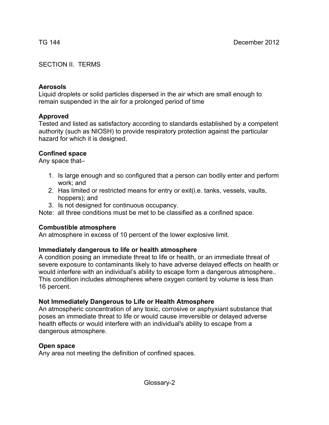# SECTION II. TERMS

# **Aerosols**

Liquid droplets or solid particles dispersed in the air which are small enough to remain suspended in the air for a prolonged period of time

# **Approved**

Tested and listed as satisfactory according to standards established by a competent authority (such as NIOSH) to provide respiratory protection against the particular hazard for which it is designed.

# **Confined space**

Any space that–

- 1. Is large enough and so configured that a person can bodily enter and perform work; and
- 2. Has limited or restricted means for entry or exit(i.e. tanks, vessels, vaults, hoppers); and
- 3. Is not designed for continuous occupancy.

Note: all three conditions must be met to be classified as a confined space.

# **Combustible atmosphere**

An atmosphere in excess of 10 percent of the lower explosive limit.

# **Immediately dangerous to life or health atmosphere**

A condition posing an immediate threat to life or health, or an immediate threat of severe exposure to contaminants likely to have adverse delayed effects on health or would interfere with an individual's ability to escape form a dangerous atmosphere.. This condition includes atmospheres where oxygen content by volume is less than 16 percent.

# **Not Immediately Dangerous to Life or Health Atmosphere**

An atmospheric concentration of any toxic, corrosive or asphyxiant substance that poses an immediate threat to life or would cause irreversible or delayed adverse health effects or would interfere with an individual's ability to escape from a dangerous atmosphere.

# **Open space**

Any area not meeting the definition of confined spaces.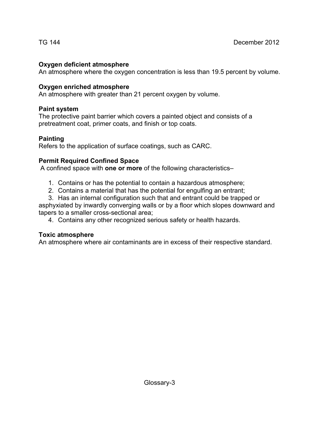# **Oxygen deficient atmosphere**

An atmosphere where the oxygen concentration is less than 19.5 percent by volume.

# **Oxygen enriched atmosphere**

An atmosphere with greater than 21 percent oxygen by volume.

# **Paint system**

The protective paint barrier which covers a painted object and consists of a pretreatment coat, primer coats, and finish or top coats.

# **Painting**

Refers to the application of surface coatings, such as CARC.

# **Permit Required Confined Space**

A confined space with **one or more** of the following characteristics–

- 1. Contains or has the potential to contain a hazardous atmosphere;
- 2. Contains a material that has the potential for engulfing an entrant;
- 3. Has an internal configuration such that and entrant could be trapped or

asphyxiated by inwardly converging walls or by a floor which slopes downward and tapers to a smaller cross-sectional area;

4. Contains any other recognized serious safety or health hazards.

# **Toxic atmosphere**

An atmosphere where air contaminants are in excess of their respective standard.